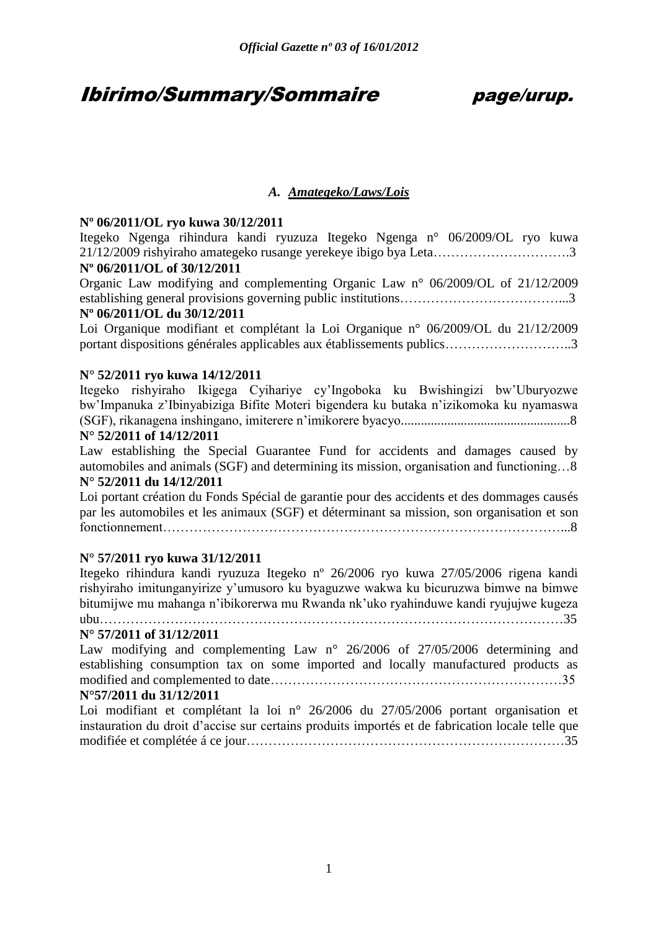## Ibirimo/Summary/Sommaire page/urup.

### *A. Amategeko/Laws/Lois*

### **Nº 06/2011/OL ryo kuwa 30/12/2011**

Itegeko Ngenga rihindura kandi ryuzuza Itegeko Ngenga n° 06/2009/OL ryo kuwa 21/12/2009 rishyiraho amategeko rusange yerekeye ibigo bya Leta………………………….3

### **Nº 06/2011/OL of 30/12/2011**

Organic Law modifying and complementing Organic Law n° 06/2009/OL of 21/12/2009 establishing general provisions governing public institutions………………………………...3

### **Nº 06/2011/OL du 30/12/2011**

Loi Organique modifiant et complétant la Loi Organique n° 06/2009/OL du 21/12/2009 portant dispositions générales applicables aux établissements publics………………………..3

### **N° 52/2011 ryo kuwa 14/12/2011**

Itegeko rishyiraho Ikigega Cyihariye cy'Ingoboka ku Bwishingizi bw'Uburyozwe bw'Impanuka z'Ibinyabiziga Bifite Moteri bigendera ku butaka n'izikomoka ku nyamaswa (SGF), rikanagena inshingano, imiterere n'imikorere byacyo...................................................8

### **N° 52/2011 of 14/12/2011**

Law establishing the Special Guarantee Fund for accidents and damages caused by automobiles and animals (SGF) and determining its mission, organisation and functioning…8 **N° 52/2011 du 14/12/2011**

Loi portant création du Fonds Spécial de garantie pour des accidents et des dommages causés par les automobiles et les animaux (SGF) et déterminant sa mission, son organisation et son fonctionnement………………………………………………………………………………...8

### **N° 57/2011 ryo kuwa 31/12/2011**

Itegeko rihindura kandi ryuzuza Itegeko nº 26/2006 ryo kuwa 27/05/2006 rigena kandi rishyiraho imitunganyirize y'umusoro ku byaguzwe wakwa ku bicuruzwa bimwe na bimwe bitumijwe mu mahanga n'ibikorerwa mu Rwanda nk'uko ryahinduwe kandi ryujujwe kugeza ubu……………………………………………………………………………………………35

### **N° 57/2011 of 31/12/2011**

Law modifying and complementing Law n° 26/2006 of 27/05/2006 determining and establishing consumption tax on some imported and locally manufactured products as modified and complemented to date…………………………………………………………35

### **N°57/2011 du 31/12/2011**

Loi modifiant et complétant la loi n° 26/2006 du 27/05/2006 portant organisation et instauration du droit d'accise sur certains produits importés et de fabrication locale telle que modifiée et complétée á ce jour………………………………………………………………35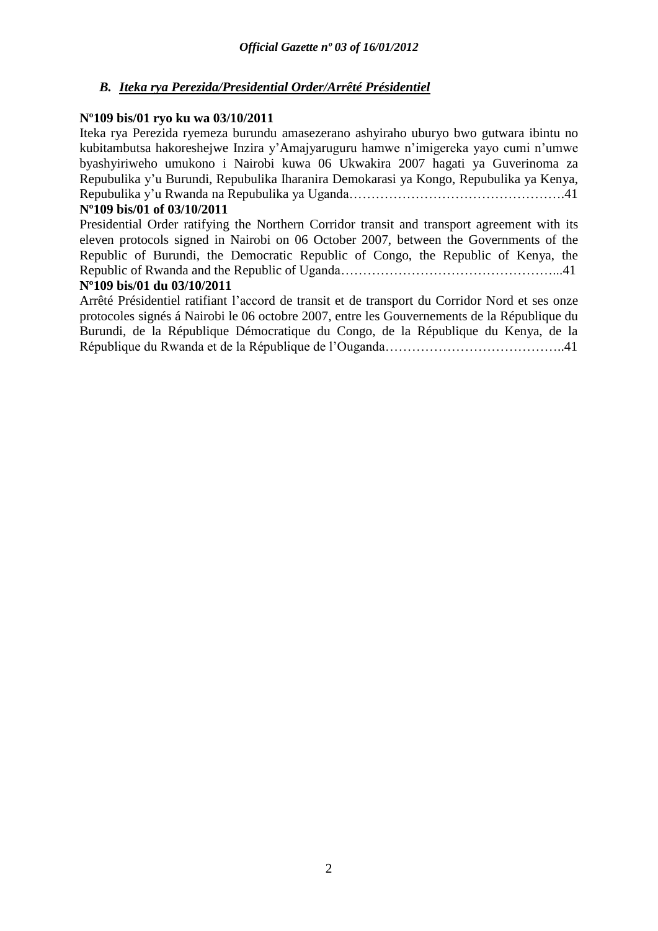### *B. Iteka rya Perezida/Presidential Order/Arrêté Présidentiel*

### **Nº109 bis/01 ryo ku wa 03/10/2011**

Iteka rya Perezida ryemeza burundu amasezerano ashyiraho uburyo bwo gutwara ibintu no kubitambutsa hakoreshejwe Inzira y'Amajyaruguru hamwe n'imigereka yayo cumi n'umwe byashyiriweho umukono i Nairobi kuwa 06 Ukwakira 2007 hagati ya Guverinoma za Repubulika y'u Burundi, Repubulika Iharanira Demokarasi ya Kongo, Repubulika ya Kenya, Repubulika y'u Rwanda na Repubulika ya Uganda………………………………………….41

### **Nº109 bis/01 of 03/10/2011**

Presidential Order ratifying the Northern Corridor transit and transport agreement with its eleven protocols signed in Nairobi on 06 October 2007, between the Governments of the Republic of Burundi, the Democratic Republic of Congo, the Republic of Kenya, the Republic of Rwanda and the Republic of Uganda…………………………………………...41

### **Nº109 bis/01 du 03/10/2011**

Arrêté Présidentiel ratifiant l'accord de transit et de transport du Corridor Nord et ses onze protocoles signés á Nairobi le 06 octobre 2007, entre les Gouvernements de la République du Burundi, de la République Démocratique du Congo, de la République du Kenya, de la République du Rwanda et de la République de l'Ouganda…………………………………..41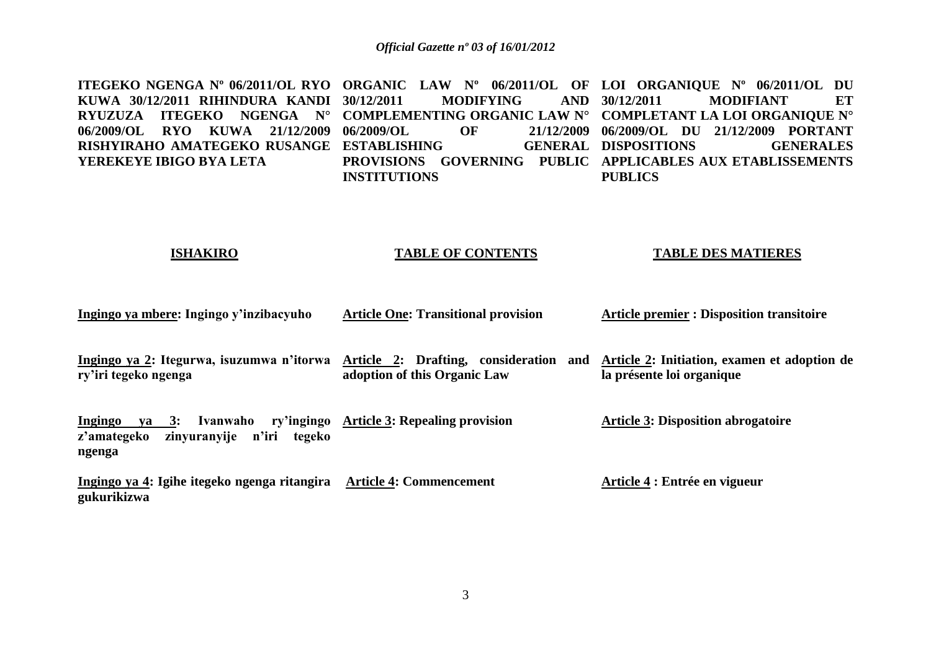**ITEGEKO NGENGA Nº 06/2011/OL RYO ORGANIC LAW Nº 06/2011/OL OF LOI ORGANIQUE Nº 06/2011/OL DU KUWA 30/12/2011 RIHINDURA KANDI RYUZUZA ITEGEKO NGENGA N° COMPLEMENTING ORGANIC LAW N° COMPLETANT LA LOI ORGANIQUE N° 06/2009/OL RYO KUWA 21/12/2009 RISHYIRAHO AMATEGEKO RUSANGE ESTABLISHING GENERAL YEREKEYE IBIGO BYA LETA 30/12/2011 MODIFYING AND 06/2009/OL OF 21/12/2009 06/2009/OL DU 21/12/2009 PORTANT PROVISIONS GOVERNING PUBLIC APPLICABLES AUX ETABLISSEMENTS INSTITUTIONS 30/12/2011 MODIFIANT ET**  GENERAL DISPOSITIONS **GENERALES PUBLICS**

### **ISHAKIRO**

### **TABLE OF CONTENTS**

### **TABLE DES MATIERES**

| Ingingo ya mbere: Ingingo y'inzibacyuho                                                              | <b>Article One: Transitional provision</b>         | <b>Article premier : Disposition transitoire</b>                          |
|------------------------------------------------------------------------------------------------------|----------------------------------------------------|---------------------------------------------------------------------------|
| Ingingo ya 2: Itegurwa, isuzumwa n'itorwa Article 2: Drafting, consideration<br>ry'iri tegeko ngenga | and<br>adoption of this Organic Law                | Article 2: Initiation, examen et adoption de<br>la présente loi organique |
| Ingingo<br>$ya \quad 3:$<br>zinyuranyije n'iri<br>z'amategeko<br>tegeko<br>ngenga                    | Ivanwaho ry'ingingo Article 3: Repealing provision | <b>Article 3: Disposition abrogatoire</b>                                 |
| Ingingo ya 4: Igihe itegeko ngenga ritangira<br>gukurikizwa                                          | <b>Article 4: Commencement</b>                     | Article 4 : Entrée en vigueur                                             |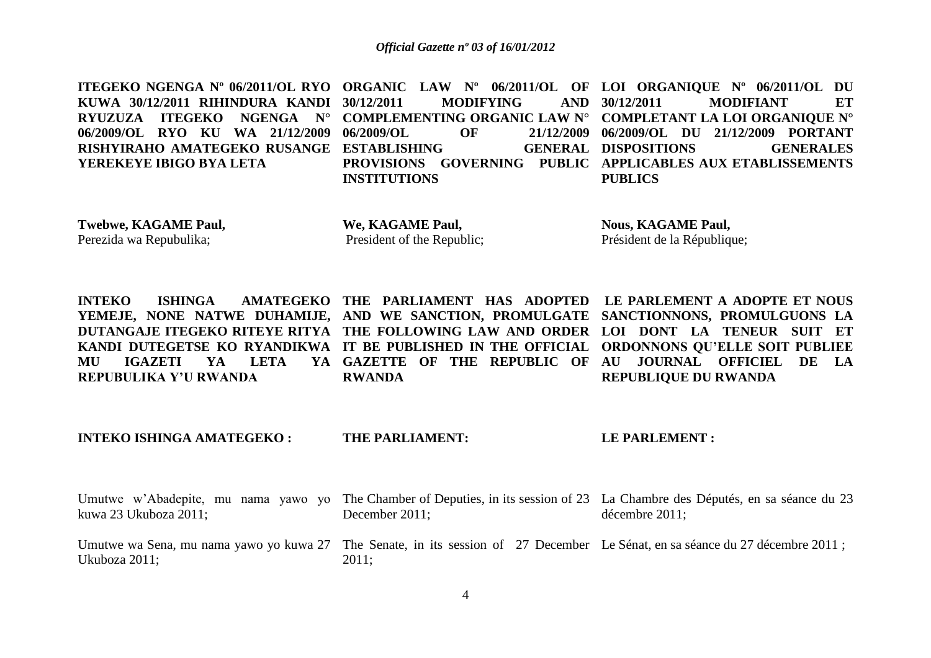|                                           |                     | ITEGEKO NGENGA Nº 06/2011/OL RYO ORGANIC LAW Nº 06/2011/OL OF LOI ORGANIQUE Nº 06/2011/OL DU |
|-------------------------------------------|---------------------|----------------------------------------------------------------------------------------------|
|                                           |                     | KUWA 30/12/2011 RIHINDURA KANDI 30/12/2011    MODIFYING    AND 30/12/2011    MODIFIANT    ET |
|                                           |                     | RYUZUZA ITEGEKO NGENGA N° COMPLEMENTING ORGANIC LAW N° COMPLETANT LA LOI ORGANIQUE N°        |
|                                           |                     | 06/2009/OL RYO KU WA 21/12/2009 06/2009/OL OF 21/12/2009 06/2009/OL DU 21/12/2009 PORTANT    |
| RISHYIRAHO AMATEGEKO RUSANGE ESTABLISHING |                     | GENERAL DISPOSITIONS GENERALES                                                               |
|                                           |                     | YEREKEYE IBIGO BYA LETA PROVISIONS GOVERNING PUBLIC APPLICABLES AUX ETABLISSEMENTS           |
|                                           | <b>INSTITUTIONS</b> | <b>PUBLICS</b>                                                                               |

**Twebwe, KAGAME Paul,**  Perezida wa Repubulika;

**We, KAGAME Paul,** President of the Republic; **Nous, KAGAME Paul,**  Président de la République;

| INTEKO ISHINGA AMATEGEKO THE PARLIAMENT HAS ADOPTED LE-PARLEMENT A ADOPTE-ET-NOUS           |  |               |  |  |  |                             |  |  |  |
|---------------------------------------------------------------------------------------------|--|---------------|--|--|--|-----------------------------|--|--|--|
| YEMEJE, NONE NATWE DUHAMIJE, AND WE SANCTION, PROMULGATE SANCTIONNONS, PROMULGUONS LA       |  |               |  |  |  |                             |  |  |  |
| DUTANGAJE ITEGEKO RITEYE RITYA THE FOLLOWING LAW AND ORDER LOI DONT LA TENEUR SUIT ET       |  |               |  |  |  |                             |  |  |  |
| KANDI DUTEGETSE KO RYANDIKWA IT BE PUBLISHED IN THE OFFICIAL ORDONNONS QU'ELLE SOIT PUBLIEE |  |               |  |  |  |                             |  |  |  |
| MU IGAZETI YA LETA YA GAZETTE OF THE REPUBLIC OF AU JOURNAL OFFICIEL DE LA                  |  |               |  |  |  |                             |  |  |  |
| REPUBULIKA Y'U RWANDA                                                                       |  | <b>RWANDA</b> |  |  |  | <b>REPUBLIOUE DU RWANDA</b> |  |  |  |

**INTEKO ISHINGA AMATEGEKO : THE PARLIAMENT: LE PARLEMENT :** 

Umutwe w'Abadepite, mu nama yawo yo The Chamber of Deputies, in its session of 23 La Chambre des Députés, en sa séance du 23 kuwa 23 Ukuboza 2011; Umutwe wa Sena, mu nama yawo yo kuwa 27 The Senate, in its session of 27 December Le Sénat, en sa séance du 27 décembre 2011; Ukuboza 2011; December 2011; 2011; décembre 2011;

4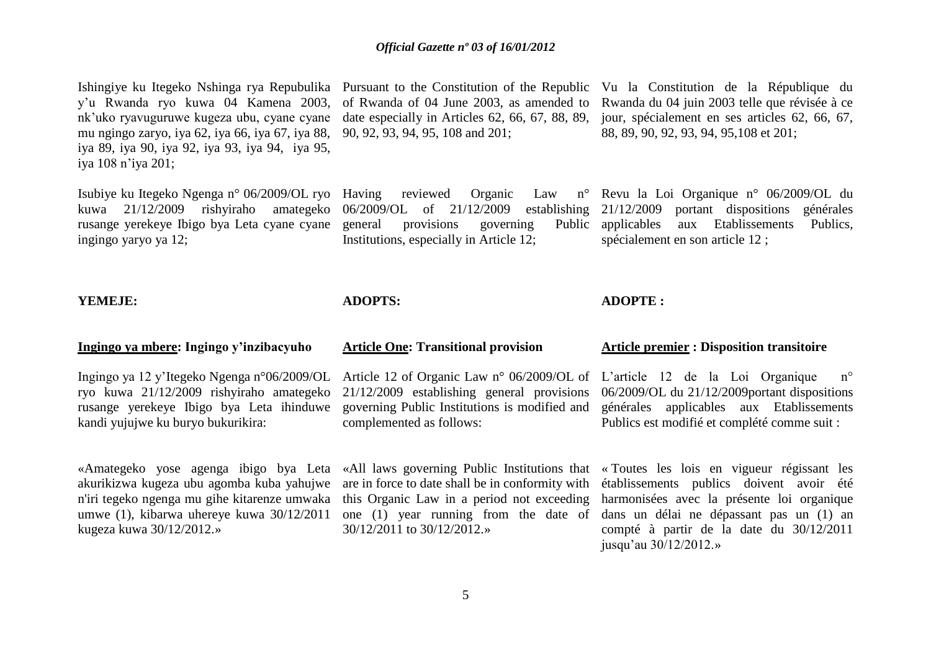Ishingiye ku Itegeko Nshinga rya Repubulika Pursuant to the Constitution of the Republic Vu la Constitution de la République du y'u Rwanda ryo kuwa 04 Kamena 2003, nk'uko ryavuguruwe kugeza ubu, cyane cyane mu ngingo zaryo, iya 62, iya 66, iya 67, iya 88, iya 89, iya 90, iya 92, iya 93, iya 94, iya 95, iya 108 n'iya 201;

Isubiye ku Itegeko Ngenga n° 06/2009/OL ryo Having reviewed Organic Law n° rusange yerekeye Ibigo bya Leta cyane cyane ingingo yaryo ya 12;

90, 92, 93, 94, 95, 108 and 201;

general provisions governing Institutions, especially in Article 12;

**Article One: Transitional provision**

of Rwanda of 04 June 2003, as amended to Rwanda du 04 juin 2003 telle que révisée à ce date especially in Articles 62, 66, 67, 88, 89, jour, spécialement en ses articles 62, 66, 67, 88, 89, 90, 92, 93, 94, 95,108 et 201;

kuwa 21/12/2009 rishyiraho amategeko 06/2009/OL of 21/12/2009 establishing 21/12/2009 portant dispositions générales Revu la Loi Organique n° 06/2009/OL du Public applicables aux Etablissements Publics, spécialement en son article 12 ;

### **YEMEJE:**

### **ADOPTS:**

### **ADOPTE :**

### **Ingingo ya mbere: Ingingo y'inzibacyuho**

Ingingo ya 12 y'Itegeko Ngenga n°06/2009/OL ryo kuwa 21/12/2009 rishyiraho amategeko rusange yerekeye Ibigo bya Leta ihinduwe kandi yujujwe ku buryo bukurikira:

«Amategeko yose agenga ibigo bya Leta «All laws governing Public Institutions that « Toutes les lois en vigueur régissant les akurikizwa kugeza ubu agomba kuba yahujwe umwe (1), kibarwa uhereye kuwa 30/12/2011 kugeza kuwa 30/12/2012.»

Article 12 of Organic Law n° 06/2009/OL of L'article 12 de la Loi Organique n° governing Public Institutions is modified and complemented as follows:

one (1) year running from the date of 30/12/2011 to 30/12/2012.»

### **Article premier : Disposition transitoire**

21/12/2009 establishing general provisions 06/2009/OL du 21/12/2009portant dispositions générales applicables aux Etablissements Publics est modifié et complété comme suit :

n'iri tegeko ngenga mu gihe kitarenze umwaka this Organic Law in a period not exceeding harmonisées avec la présente loi organique are in force to date shall be in conformity with établissements publics doivent avoir été dans un délai ne dépassant pas un (1) an compté à partir de la date du 30/12/2011 jusqu'au 30/12/2012.»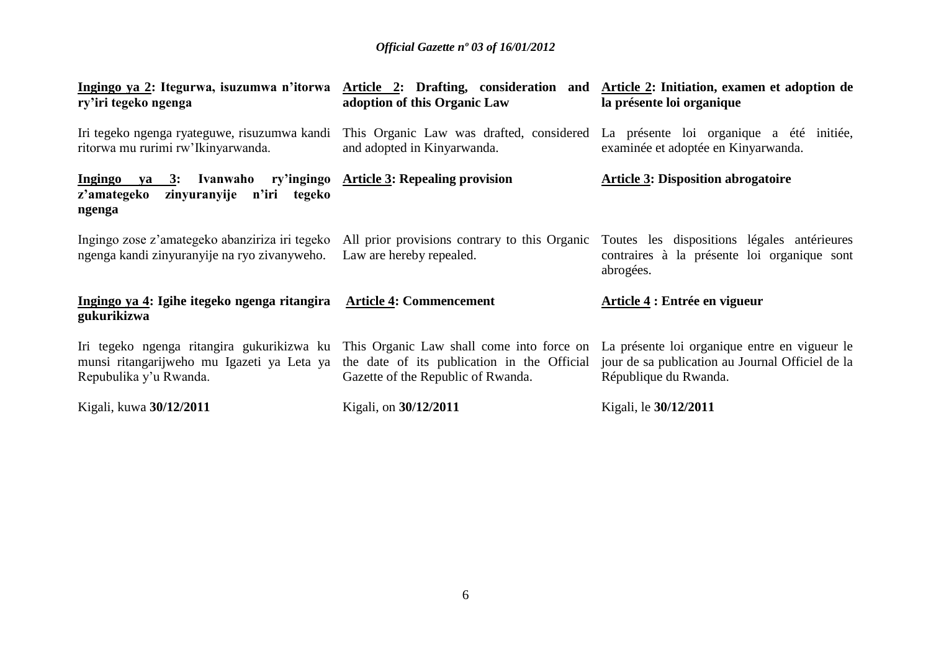| Ingingo ya 2: Itegurwa, isuzumwa n'itorwa Article 2: Drafting, consideration and Article 2: Initiation, examen et adoption de<br>ry'iri tegeko ngenga | adoption of this Organic Law                                                                                                   | la présente loi organique                                                                                                                             |
|-------------------------------------------------------------------------------------------------------------------------------------------------------|--------------------------------------------------------------------------------------------------------------------------------|-------------------------------------------------------------------------------------------------------------------------------------------------------|
| Iri tegeko ngenga ryateguwe, risuzumwa kandi<br>ritorwa mu rurimi rw'Ikinyarwanda.                                                                    | and adopted in Kinyarwanda.                                                                                                    | This Organic Law was drafted, considered La présente loi organique a été initiée,<br>examinée et adoptée en Kinyarwanda.                              |
| Ingingo ya 3: Ivanwaho ry'ingingo Article 3: Repealing provision<br>z'amategeko<br>zinyuranyije n'iri tegeko<br>ngenga                                |                                                                                                                                | <b>Article 3: Disposition abrogatoire</b>                                                                                                             |
| Ingingo zose z'amategeko abanziriza iri tegeko<br>ngenga kandi zinyuranyije na ryo zivanyweho.                                                        | Law are hereby repealed.                                                                                                       | All prior provisions contrary to this Organic Toutes les dispositions légales antérieures<br>contraires à la présente loi organique sont<br>abrogées. |
| Ingingo ya 4: Igihe itegeko ngenga ritangira Article 4: Commencement<br>gukurikizwa                                                                   |                                                                                                                                | Article 4 : Entrée en vigueur                                                                                                                         |
| Iri tegeko ngenga ritangira gukurikizwa ku<br>munsi ritangarijweho mu Igazeti ya Leta ya<br>Repubulika y'u Rwanda.                                    | This Organic Law shall come into force on<br>the date of its publication in the Official<br>Gazette of the Republic of Rwanda. | La présente loi organique entre en vigueur le<br>jour de sa publication au Journal Officiel de la<br>République du Rwanda.                            |
| Kigali, kuwa 30/12/2011                                                                                                                               | Kigali, on 30/12/2011                                                                                                          | Kigali, le 30/12/2011                                                                                                                                 |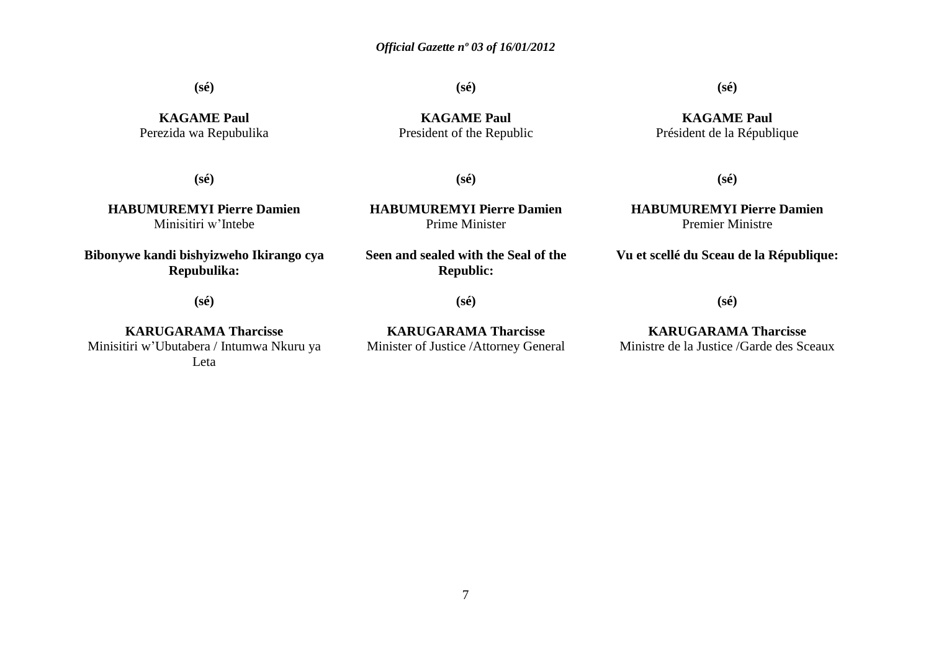**(sé)**

**(sé)**

### **(sé)**

**KAGAME Paul** Perezida wa Repubulika

**(sé)**

**HABUMUREMYI Pierre Damien** Minisitiri w'Intebe

**Bibonywe kandi bishyizweho Ikirango cya Repubulika:**

**(sé)**

**KARUGARAMA Tharcisse** Minisitiri w'Ubutabera / Intumwa Nkuru ya Leta

**KAGAME Paul** President of the Republic

### **KAGAME Paul** Président de la République

**(sé)**

**HABUMUREMYI Pierre Damien** Prime Minister

**Seen and sealed with the Seal of the Republic:**

**(sé)**

**KARUGARAMA Tharcisse** Minister of Justice /Attorney General

## **(sé)**

**HABUMUREMYI Pierre Damien** Premier Ministre

**Vu et scellé du Sceau de la République:**

**(sé)**

**KARUGARAMA Tharcisse** Ministre de la Justice /Garde des Sceaux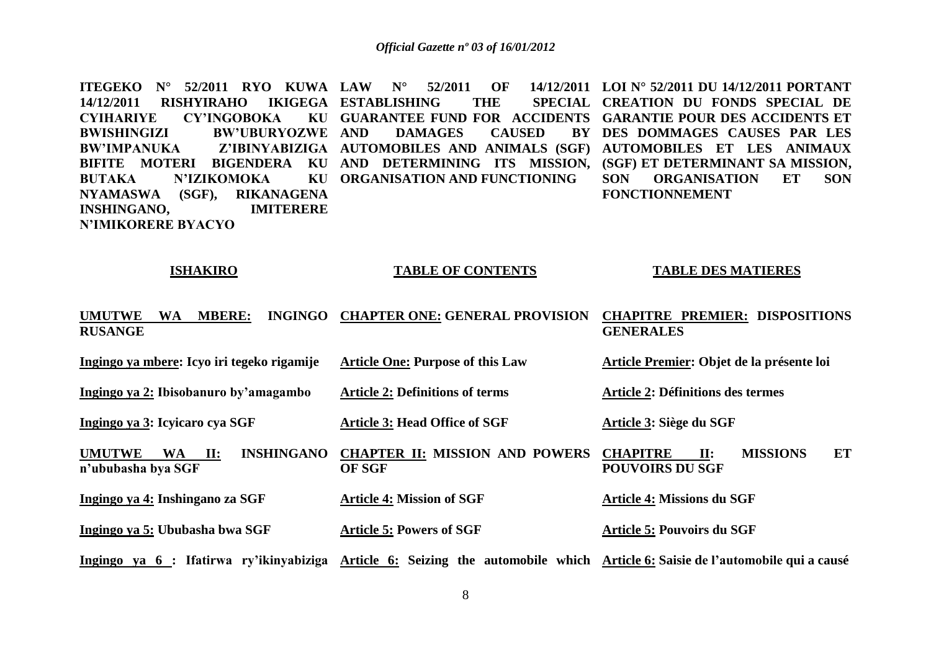**ITEGEKO N° 52/2011 RYO KUWA LAW N° 52/2011 OF 14/12/2011 LOI N° 52/2011 DU 14/12/2011 PORTANT 14/12/2011 RISHYIRAHO IKIGEGA ESTABLISHING THE SPECIAL CYIHARIYE CY'INGOBOKA BWISHINGIZI BW'UBURYOZWE BW'IMPANUKA Z'IBINYABIZIGA AUTOMOBILES AND ANIMALS (SGF) AUTOMOBILES ET LES ANIMAUX**  BIFITE MOTERI BIGENDERA KU AND DETERMINING ITS MISSION, (SGF) ET DETERMINANT SA MISSION, **BUTAKA N'IZIKOMOKA NYAMASWA (SGF), RIKANAGENA INSHINGANO, IMITERERE N'IMIKORERE BYACYO GUARANTEE FUND FOR ACCIDENTS GARANTIE POUR DES ACCIDENTS ET DAMAGES CAUSED ORGANISATION AND FUNCTIONING CREATION DU FONDS SPECIAL DE DES DOMMAGES CAUSES PAR LES SON ORGANISATION ET SON FONCTIONNEMENT** 

### **ISHAKIRO**

### **TABLE OF CONTENTS**

### **TABLE DES MATIERES**

| <b>UMUTWE</b><br><b>MBERE:</b><br>WA<br><b>RUSANGE</b>                                   | INGINGO CHAPTER ONE: GENERAL PROVISION                                                                                        | <b>CHAPITRE PREMIER: DISPOSITIONS</b><br><b>GENERALES</b>                             |
|------------------------------------------------------------------------------------------|-------------------------------------------------------------------------------------------------------------------------------|---------------------------------------------------------------------------------------|
| Ingingo ya mbere: Icyo iri tegeko rigamije                                               | <b>Article One: Purpose of this Law</b>                                                                                       | Article Premier: Objet de la présente loi                                             |
| Ingingo ya 2: Ibisobanuro by'amagambo                                                    | <b>Article 2: Definitions of terms</b>                                                                                        | <b>Article 2: Définitions des termes</b>                                              |
| Ingingo ya 3: Icyicaro cya SGF                                                           | <b>Article 3: Head Office of SGF</b>                                                                                          | Article 3: Siège du SGF                                                               |
| <b>INSHINGANO</b><br><b>UMUTWE</b><br><b>WA</b><br>$\mathbf{II}$ :<br>n'ububasha bya SGF | <b>CHAPTER II: MISSION AND POWERS</b><br><b>OF SGF</b>                                                                        | <b>MISSIONS</b><br>ET<br>$\mathbf{II}$ :<br><b>CHAPITRE</b><br><b>POUVOIRS DU SGF</b> |
| Ingingo ya 4: Inshingano za SGF                                                          | <b>Article 4: Mission of SGF</b>                                                                                              | <b>Article 4: Missions du SGF</b>                                                     |
| Ingingo ya 5: Ububasha bwa SGF                                                           | <b>Article 5: Powers of SGF</b>                                                                                               | <b>Article 5: Pouvoirs du SGF</b>                                                     |
|                                                                                          | Ingingo ya 6 : Ifatirwa ry'ikinyabiziga Article 6: Seizing the automobile which Article 6: Saisie de l'automobile qui a causé |                                                                                       |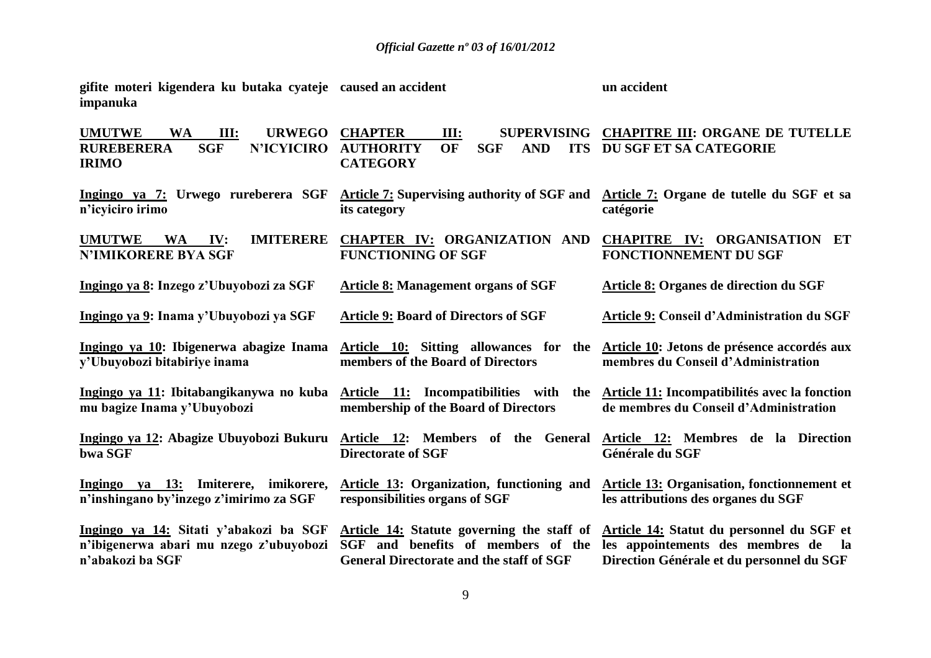| gifite moteri kigendera ku butaka cyateje caused an accident<br>impanuka                                                    |                                                                                                                                     | un accident                                                                                                                             |
|-----------------------------------------------------------------------------------------------------------------------------|-------------------------------------------------------------------------------------------------------------------------------------|-----------------------------------------------------------------------------------------------------------------------------------------|
| <b>UMUTWE</b><br>III:<br><b>URWEGO</b><br><b>WA</b><br><b>SGF</b><br><b>N'ICYICIRO</b><br><b>RUREBERERA</b><br><b>IRIMO</b> | <b>CHAPTER</b><br>III:<br><b>OF</b><br><b>AUTHORITY</b><br><b>SGF</b><br><b>AND</b><br><b>CATEGORY</b>                              | SUPERVISING CHAPITRE III: ORGANE DE TUTELLE<br><b>ITS DU SGF ET SA CATEGORIE</b>                                                        |
| n'icyiciro irimo                                                                                                            | Ingingo ya 7: Urwego rureberera SGF Article 7: Supervising authority of SGF and<br>its category                                     | Article 7: Organe de tutelle du SGF et sa<br>catégorie                                                                                  |
| <b>UMUTWE</b><br><b>IMITERERE</b><br><b>WA</b><br>IV:<br><b>N'IMIKORERE BYA SGF</b>                                         | CHAPTER IV: ORGANIZATION AND<br><b>FUNCTIONING OF SGF</b>                                                                           | <b>CHAPITRE IV: ORGANISATION ET</b><br><b>FONCTIONNEMENT DU SGF</b>                                                                     |
| Ingingo ya 8: Inzego z'Ubuyobozi za SGF                                                                                     | <b>Article 8: Management organs of SGF</b>                                                                                          | <b>Article 8: Organes de direction du SGF</b>                                                                                           |
| Ingingo ya 9: Inama y'Ubuyobozi ya SGF                                                                                      | <b>Article 9: Board of Directors of SGF</b>                                                                                         | Article 9: Conseil d'Administration du SGF                                                                                              |
| Ingingo ya 10: Ibigenerwa abagize Inama<br>y'Ubuyobozi bitabiriye inama                                                     | Article 10: Sitting allowances for the<br>members of the Board of Directors                                                         | Article 10: Jetons de présence accordés aux<br>membres du Conseil d'Administration                                                      |
| Ingingo ya 11: Ibitabangikanywa no kuba<br>mu bagize Inama y'Ubuyobozi                                                      | Article 11: Incompatibilities with<br>the<br>membership of the Board of Directors                                                   | Article 11: Incompatibilités avec la fonction<br>de membres du Conseil d'Administration                                                 |
| Ingingo ya 12: Abagize Ubuyobozi Bukuru<br>bwa SGF                                                                          | Article 12: Members of the General<br><b>Directorate of SGF</b>                                                                     | Article 12: Membres de la Direction<br>Générale du SGF                                                                                  |
| Ingingo ya 13: Imiterere, imikorere,<br>n'inshingano by'inzego z'imirimo za SGF                                             | <b>Article 13: Organization, functioning and</b><br>responsibilities organs of SGF                                                  | <b>Article 13: Organisation, fonctionnement et</b><br>les attributions des organes du SGF                                               |
| Ingingo ya 14: Sitati y'abakozi ba SGF<br>n'ibigenerwa abari mu nzego z'ubuyobozi<br>n'abakozi ba SGF                       | Article 14: Statute governing the staff of<br>SGF and benefits of members of the<br><b>General Directorate and the staff of SGF</b> | Article 14: Statut du personnel du SGF et<br>les appointements des membres de<br><b>la</b><br>Direction Générale et du personnel du SGF |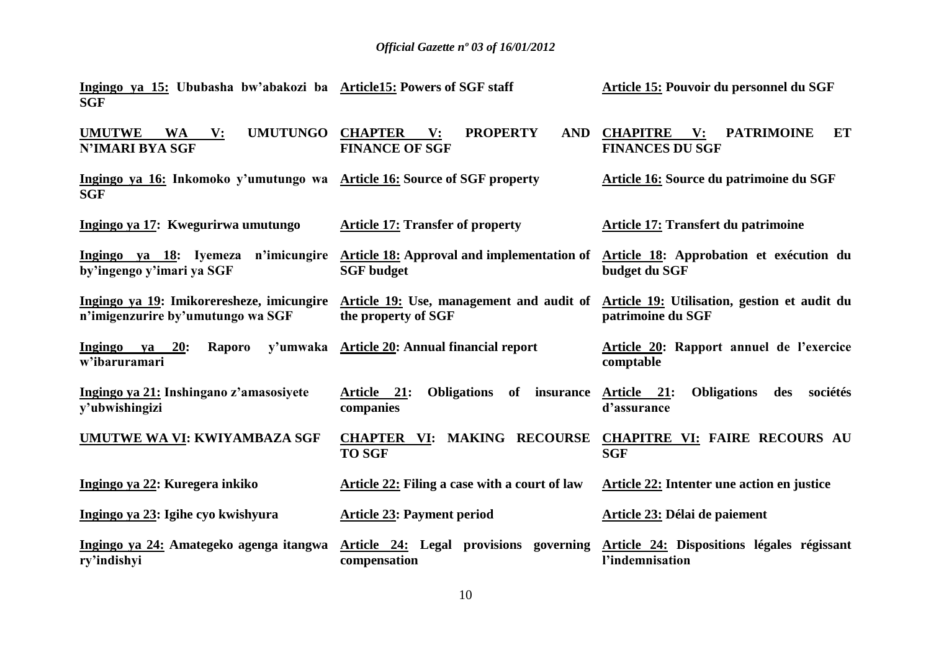**Article 15: Pouvoir du personnel du SGF**

**Article15: Powers of SGF staff** 

**Ingingo ya 15: Ububasha bw'abakozi ba** 

| <b>SGF</b>                                                                             |                                                                        |                                                                                                      |
|----------------------------------------------------------------------------------------|------------------------------------------------------------------------|------------------------------------------------------------------------------------------------------|
| <b>UMUTWE</b><br><b>WA</b><br>$\mathbf{V}$ :<br><b>N'IMARI BYA SGF</b>                 | UMUTUNGO CHAPTER V:<br><b>PROPERTY</b><br><b>FINANCE OF SGF</b>        | AND CHAPITRE V: PATRIMOINE<br>ET<br><b>FINANCES DU SGF</b>                                           |
| Ingingo ya 16: Inkomoko y'umutungo wa Article 16: Source of SGF property<br><b>SGF</b> |                                                                        | Article 16: Source du patrimoine du SGF                                                              |
| Ingingo ya 17: Kwegurirwa umutungo                                                     | <b>Article 17: Transfer of property</b>                                | Article 17: Transfert du patrimoine                                                                  |
| Ingingo ya 18: Iyemeza n'imicungire<br>by'ingengo y'imari ya SGF                       | <b>Article 18:</b> Approval and implementation of<br><b>SGF</b> budget | Article 18: Approbation et exécution du<br>budget du SGF                                             |
| Ingingo ya 19: Imikoreresheze, imicungire<br>n'imigenzurire by'umutungo wa SGF         | Article 19: Use, management and audit of<br>the property of SGF        | Article 19: Utilisation, gestion et audit du<br>patrimoine du SGF                                    |
| Ingingo ya 20:<br>Raporo<br>w'ibaruramari                                              | y'umwaka Article 20: Annual financial report                           | Article 20: Rapport annuel de l'exercice<br>comptable                                                |
| Ingingo ya 21: Inshingano z'amasosiyete<br>y'ubwishingizi                              | Article 21:<br>Obligations of insurance<br>companies                   | <b>Obligations</b><br>Article 21:<br>des<br>sociétés<br>d'assurance                                  |
| UMUTWE WA VI: KWIYAMBAZA SGF                                                           | <b>CHAPTER VI: MAKING RECOURSE</b><br><b>TO SGF</b>                    | <b>CHAPITRE VI: FAIRE RECOURS AU</b><br><b>SGF</b>                                                   |
| Ingingo ya 22: Kuregera inkiko                                                         | Article 22: Filing a case with a court of law                          | Article 22: Intenter une action en justice                                                           |
| Ingingo ya 23: Igihe cyo kwishyura                                                     | <b>Article 23: Payment period</b>                                      | Article 23: Délai de paiement                                                                        |
| Ingingo ya 24: Amategeko agenga itangwa<br>ry'indishyi                                 | compensation                                                           | Article 24: Legal provisions governing Article 24: Dispositions légales régissant<br>l'indemnisation |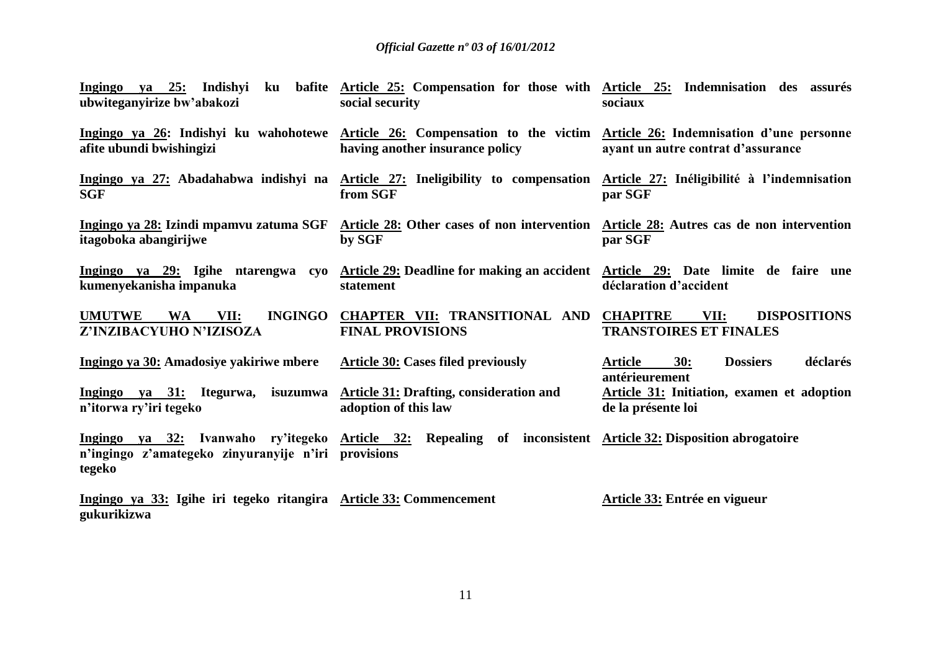| Ingingo<br>ubwiteganyirize bw'abakozi                                             | va 25: Indishyi ku bafite Article 25: Compensation for those with Article 25: Indemnisation des assurés<br>social security                               | sociaux                                                                         |
|-----------------------------------------------------------------------------------|----------------------------------------------------------------------------------------------------------------------------------------------------------|---------------------------------------------------------------------------------|
| afite ubundi bwishingizi                                                          | Ingingo ya 26: Indishyi ku wahohotewe Article 26: Compensation to the victim Article 26: Indemnisation d'une personne<br>having another insurance policy | ayant un autre contrat d'assurance                                              |
| <b>SGF</b>                                                                        | Ingingo ya 27: Abadahabwa indishyi na Article 27: Ineligibility to compensation Article 27: Inéligibilité à l'indemnisation<br>from SGF                  | par SGF                                                                         |
| itagoboka abangirijwe                                                             | Ingingo ya 28: Izindi mpamvu zatuma SGF Article 28: Other cases of non intervention Article 28: Autres cas de non intervention<br>by SGF                 | par SGF                                                                         |
| kumenyekanisha impanuka                                                           | Ingingo ya 29: Igihe ntarengwa cyo Article 29: Deadline for making an accident Article 29: Date limite de faire une<br>statement                         | déclaration d'accident                                                          |
| <b>INGINGO</b><br><b>UMUTWE</b><br><b>WA</b><br>VII:<br>Z'INZIBACYUHO N'IZISOZA   | CHAPTER VII: TRANSITIONAL AND<br><b>FINAL PROVISIONS</b>                                                                                                 | <b>DISPOSITIONS</b><br><b>CHAPITRE</b><br>VII:<br><b>TRANSTOIRES ET FINALES</b> |
| Ingingo ya 30: Amadosiye yakiriwe mbere                                           | <b>Article 30: Cases filed previously</b>                                                                                                                | déclarés<br>Article<br>30:<br><b>Dossiers</b><br>antérieurement                 |
| Ingingo ya 31: Itegurwa,<br>n'itorwa ry'iri tegeko                                | isuzumwa Article 31: Drafting, consideration and<br>adoption of this law                                                                                 | Article 31: Initiation, examen et adoption<br>de la présente loi                |
| n'ingingo z'amategeko zinyuranyije n'iri provisions<br>tegeko                     | Ingingo ya 32: Ivanwaho ry'itegeko Article 32: Repealing of inconsistent Article 32: Disposition abrogatoire                                             |                                                                                 |
| Ingingo ya 33: Igihe iri tegeko ritangira Article 33: Commencement<br>gukurikizwa |                                                                                                                                                          | Article 33: Entrée en vigueur                                                   |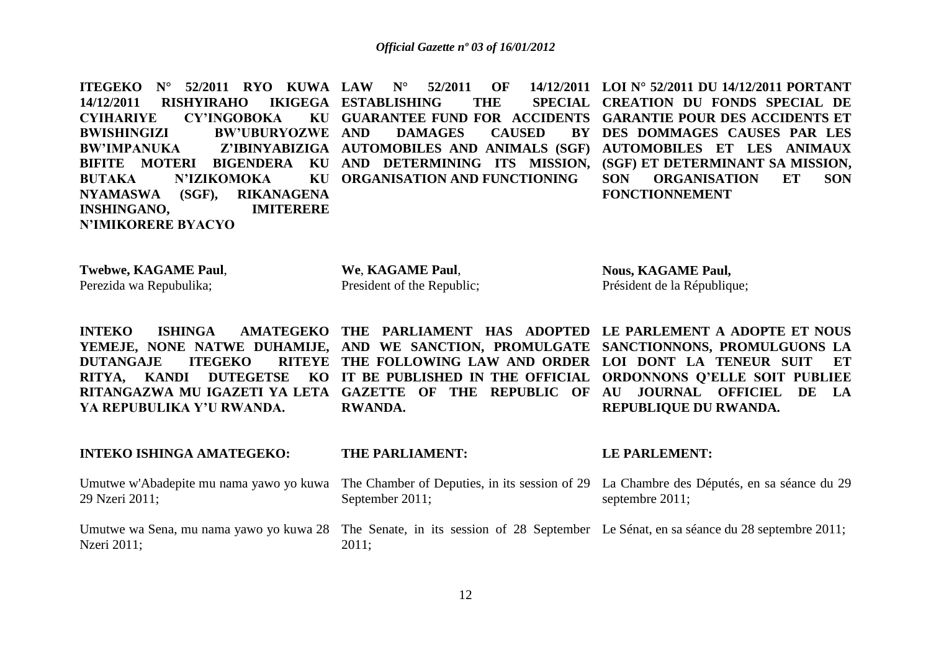**ITEGEKO N° 52/2011 RYO KUWA LAW N° 52/2011 OF 14/12/2011 14/12/2011 RISHYIRAHO CYIHARIYE CY'INGOBOKA BWISHINGIZI BW'UBURYOZWE BW'IMPANUKA Z'IBINYABIZIGA AUTOMOBILES AND ANIMALS (SGF) AUTOMOBILES ET LES ANIMAUX BIFITE MOTERI BIGENDERA KU AND DETERMINING ITS MISSION, (SGF) ET DETERMINANT SA MISSION, BUTAKA N'IZIKOMOKA NYAMASWA (SGF), RIKANAGENA INSHINGANO, IMITERERE N'IMIKORERE BYACYO IKIGEGA ESTABLISHING THE GUARANTEE FUND FOR ACCIDENTS GARANTIE POUR DES ACCIDENTS ET DAMAGES CAUSED ORGANISATION AND FUNCTIONING LOI N° 52/2011 DU 14/12/2011 PORTANT CREATION DU FONDS SPECIAL DE DES DOMMAGES CAUSES PAR LES SON ORGANISATION ET SON FONCTIONNEMENT** 

**Twebwe, KAGAME Paul**, Perezida wa Repubulika;

**INTEKO ISHINGA AMATEGEKO:** 

**We**, **KAGAME Paul**, President of the Republic;

The Parliament **Parliament of the Parliament Parliament** 

**Nous, KAGAME Paul,** Président de la République;

**LE PARLEMENT:** 

**INTEKO** ISHINGA AMATEGEKO THE PARLIAMENT HAS ADOPTED LE PARLEMENT A ADOPTE ET NOUS **YEMEJE, NONE NATWE DUHAMIJE, AND WE SANCTION, PROMULGATE SANCTIONNONS, PROMULGUONS LA DUTANGAJE ITEGEKO RITYA, KANDI DUTEGETSE KO IT BE PUBLISHED IN THE OFFICIAL ORDONNONS Q'ELLE SOIT PUBLIEE**  RITANGAZWA MU IGAZETI YA LETA GAZETTE OF THE REPUBLIC OF AU JOURNAL OFFICIEL DE LA **YA REPUBULIKA Y'U RWANDA. THE FOLLOWING LAW AND ORDER LOI DONT LA TENEUR SUIT ET RWANDA. REPUBLIQUE DU RWANDA.**

| INTEKO ISHINGA AMATEGEKO: | THE PARLIAMENT:                                                                                                                                        | LE PARLEMENT:      |
|---------------------------|--------------------------------------------------------------------------------------------------------------------------------------------------------|--------------------|
| 29 Nzeri 2011;            | Umutwe w'Abadepite mu nama yawo yo kuwa The Chamber of Deputies, in its session of 29 La Chambre des Députés, en sa séance du 29<br>September $2011$ ; | septembre $2011$ ; |
| Nzeri 2011;               | Umutwe wa Sena, mu nama yawo yo kuwa 28 The Senate, in its session of 28 September Le Sénat, en sa séance du 28 septembre 2011;<br>$2011$ ;            |                    |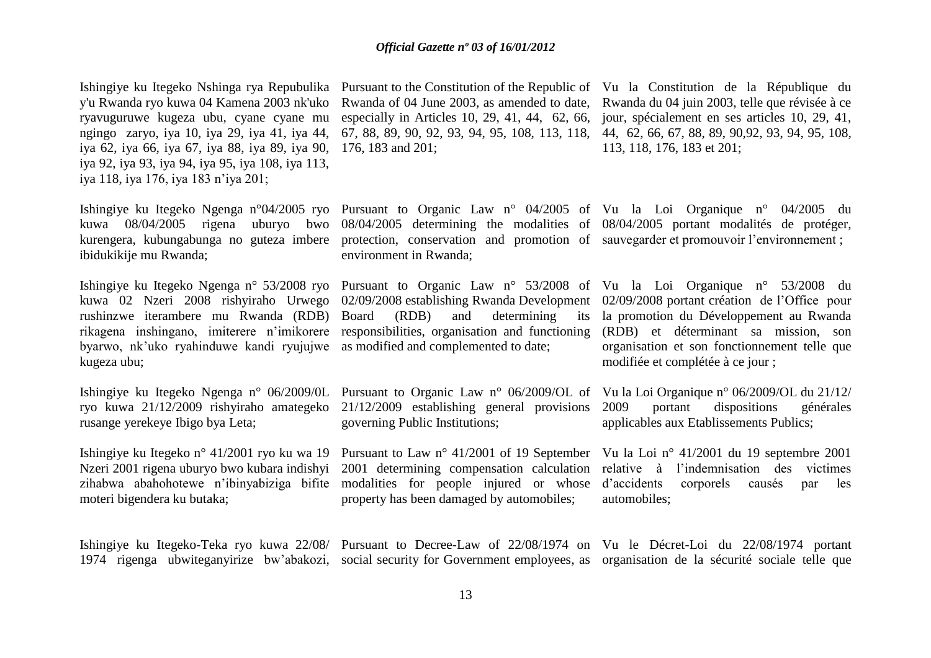Ishingiye ku Itegeko Nshinga rya Repubulika Pursuant to the Constitution of the Republic of Vu la Constitution de la République du y'u Rwanda ryo kuwa 04 Kamena 2003 nk'uko Rwanda of 04 June 2003, as amended to date, Rwanda du 04 juin 2003, telle que révisée à ce ryavuguruwe kugeza ubu, cyane cyane mu ngingo zaryo, iya 10, iya 29, iya 41, iya 44, iya 62, iya 66, iya 67, iya 88, iya 89, iya 90, 176, 183 and 201; iya 92, iya 93, iya 94, iya 95, iya 108, iya 113, iya 118, iya 176, iya 183 n'iya 201;

kurengera, kubungabunga no guteza imbere protection, conservation and promotion of sauvegarderet promouvoir l'environnement; ibidukikije mu Rwanda;

rushinzwe iterambere mu Rwanda (RDB) byarwo, nk'uko ryahinduwe kandi ryujujwe as modified and complemented to date; kugeza ubu;

Ishingiye ku Itegeko Ngenga n° 06/2009/0L Pursuant to Organic Law n° 06/2009/OL of Vu la Loi Organique n° 06/2009/OL du 21/12/ ryo kuwa 21/12/2009 rishyiraho amategeko 21/12/2009 establishing general provisions rusange yerekeye Ibigo bya Leta;

Ishingiye ku Itegeko n° 41/2001 ryo ku wa 19 Pursuant to Law n° 41/2001 of 19 September Vu la Loi n° 41/2001 du 19 septembre 2001 Nzeri 2001 rigena uburyo bwo kubara indishyi 2001 determining compensation calculation relative à l'indemnisation des victimes zihabwa abahohotewe n'ibinyabiziga bifite modalities for people injured or whose moteri bigendera ku butaka;

environment in Rwanda;

 $(RDB)$  and determining

governing Public Institutions;

property has been damaged by automobiles;

especially in Articles 10, 29, 41, 44, 62, 66, jour, spécialement en ses articles 10, 29, 41, 67, 88, 89, 90, 92, 93, 94, 95, 108, 113, 118, 44, 62, 66, 67, 88, 89, 90,92, 93, 94, 95, 108, 113, 118, 176, 183 et 201;

Ishingiye ku Itegeko Ngenga n°04/2005 ryo Pursuant to Organic Law n° 04/2005 of Vu la Loi Organique n° 04/2005 du kuwa 08/04/2005 rigena uburyo bwo 08/04/2005 determining the modalities of 08/04/2005 portant modalités de protéger,

Ishingiye ku Itegeko Ngenga n° 53/2008 ryo Pursuant to Organic Law n° 53/2008 of Vu la Loi Organique n° 53/2008 du kuwa 02 Nzeri 2008 rishyiraho Urwego 02/09/2008 establishing Rwanda Development 02/09/2008 portant création de l'Office pour rikagena inshingano, imiterere n'imikorere responsibilities, organisation and functioning (RDB) et déterminant sa mission, son la promotion du Développement au Rwanda organisation et son fonctionnement telle que modifiée et complétée à ce jour ;

> 2009 portant dispositions générales applicables aux Etablissements Publics;

> corporels causés par les automobiles;

Ishingiye ku Itegeko-Teka ryo kuwa 22/08/ Pursuant to Decree-Law of 22/08/1974 on Vu le Décret-Loi du 22/08/1974 portant 1974 rigenga ubwiteganyirize bw'abakozi, social security for Government employees, as organisation de la sécurité sociale telle que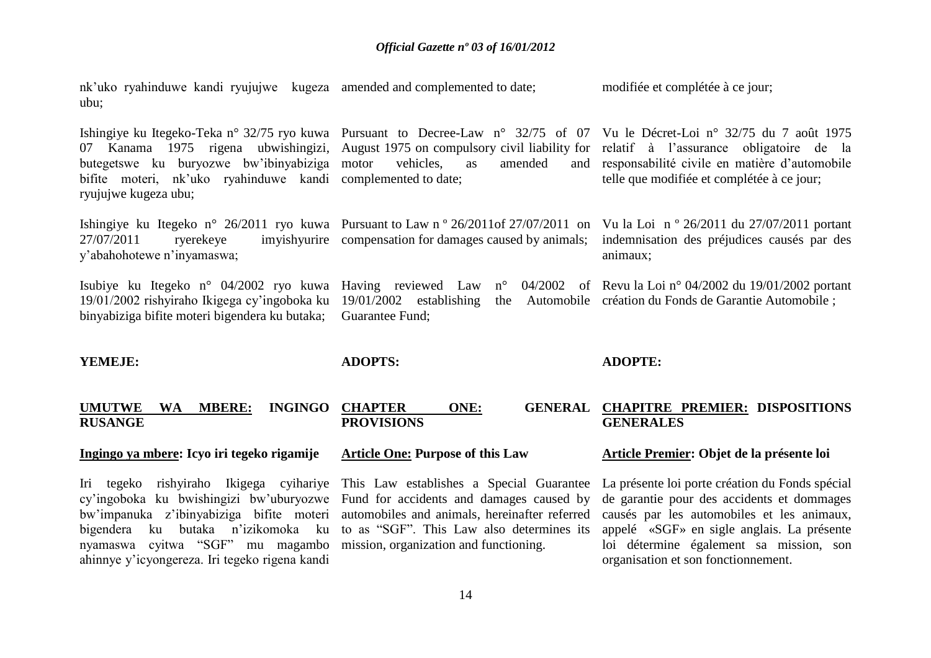vehicles, as amended

nk'uko ryahinduwe kandi ryujujwe kugeza amended and complemented to date; ubu; modifiée et complétée à ce jour;

Ishingiye ku Itegeko-Teka n° 32/75 ryo kuwa Pursuant to Decree-Law n° 32/75 of 07 Vu le Décret-Loi n° 32/75 du 7 août 1975 07 Kanama 1975 rigena ubwishingizi, August 1975 on-compulsory-civil-liability-for-relatif à l'assurance obligatoire de la butegetswe ku buryozwe bw'ibinyabiziga bifite moteri, nk'uko ryahinduwe kandi complemented to date; ryujujwe kugeza ubu;

Ishingiye ku Itegeko n° 26/2011 ryo kuwa Pursuant to Law n° 26/2011 of 27/07/2011 on Vu la Loi n° 26/2011 du 27/07/2011 portant 27/07/2011 ryerekeye imyishyurire compensation for damages caused by animals; y'abahohotewe n'inyamaswa;

Isubiye ku Itegeko n° 04/2002 ryo kuwa Having reviewed Law n° 04/2002 of Revu la Loi n° 04/2002 du 19/01/2002 portant 19/01/2002 rishyiraho Ikigega cy'ingoboka ku 19/01/2002 establishing the Automobile création du Fonds de Garantie Automobile ; binyabiziga bifite moteri bigendera ku butaka; Guarantee Fund;

**YEMEJE:** 

**ADOPTS:** 

**ADOPTE:**

animaux;

### **UMUTWE WA MBERE: INGINGO RUSANGE CHAPTER ONE: GENERAL CHAPITRE PREMIER: DISPOSITIONS PROVISIONS GENERALES**

**Article One: Purpose of this Law** 

### **Ingingo ya mbere: Icyo iri tegeko rigamije**

cy'ingoboka ku bwishingizi bw'uburyozwe Fund for accidents and damages caused by bigendera ku butaka n'izikomoka ku to as "SGF". This Law also determines its nyamaswa cyitwa "SGF" mu magambo mission, organization and functioning. ahinnye y'icyongereza. Iri tegeko rigena kandi

Iri tegeko rishyiraho Ikigega cyihariye This Law establishes a Special Guarantee La présente loi porte création du Fonds spécial

### **Article Premier: Objet de la présente loi**

and responsabilité civile en matière d'automobile telle que modifiée et complétée à ce jour;

indemnisation des préjudices causés par des

bw'impanuka z'ibinyabiziga bifite moteri automobiles and animals, hereinafter referred causés par les automobiles et les animaux, de garantie pour des accidents et dommages appelé «SGF» en sigle anglais. La présente loi détermine également sa mission, son organisation et son fonctionnement.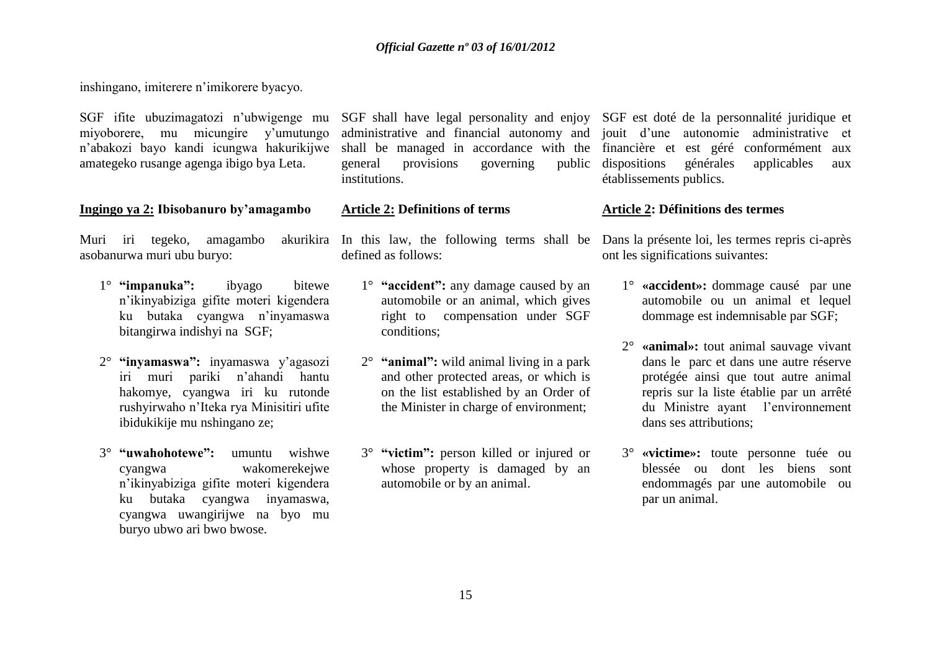inshingano, imiterere n'imikorere byacyo.

miyoborere, mu micungire y'umutungo amategeko rusange agenga ibigo bya Leta.

### **Ingingo ya 2: Ibisobanuro by'amagambo**

Muri iri tegeko, amagambo asobanurwa muri ubu buryo:

- 1° **"impanuka":** ibyago bitewe n'ikinyabiziga gifite moteri kigendera ku butaka cyangwa n'inyamaswa bitangirwa indishyi na SGF;
- 2° **"inyamaswa":** inyamaswa y'agasozi iri muri pariki n'ahandi hantu hakomye, cyangwa iri ku rutonde rushyirwaho n'Iteka rya Minisitiri ufite ibidukikije mu nshingano ze;
- 3° **"uwahohotewe":** umuntu wishwe cyangwa wakomerekejwe n'ikinyabiziga gifite moteri kigendera ku butaka cyangwa inyamaswa, cyangwa uwangirijwe na byo mu buryo ubwo ari bwo bwose.

general provisions governing institutions.

### **Article 2: Definitions of terms**

defined as follows:

- 1° **"accident":** any damage caused by an automobile or an animal, which gives right to compensation under SGF conditions;
- 2° **"animal":** wild animal living in a park and other protected areas, or which is on the list established by an Order of the Minister in charge of environment;
- 3° **"victim":** person killed or injured or whose property is damaged by an automobile or by an animal.

SGF ifite ubuzimagatozi n'ubwigenge mu SGF shall have legal personality and enjoy SGF est doté de la personnalité juridique et n'abakozi bayo kandi icungwa hakurikijwe shall be managed in accordance with the financière et est géré conformément aux administrative and financial autonomy and jouit d'une autonomie administrative et dispositions générales applicables aux établissements publics.

### **Article 2: Définitions des termes**

In this law, the following terms shall be Dans la présente loi, les termes repris ci-après ont les significations suivantes:

- 1° **«accident»:** dommage causé par une automobile ou un animal et lequel dommage est indemnisable par SGF;
- 2° **«animal»:** tout animal sauvage vivant dans le parc et dans une autre réserve protégée ainsi que tout autre animal repris sur la liste établie par un arrêté du Ministre ayant l'environnement dans ses attributions;
- 3° **«victime»:** toute personne tuée ou blessée ou dont les biens sont endommagés par une automobile ou par un animal.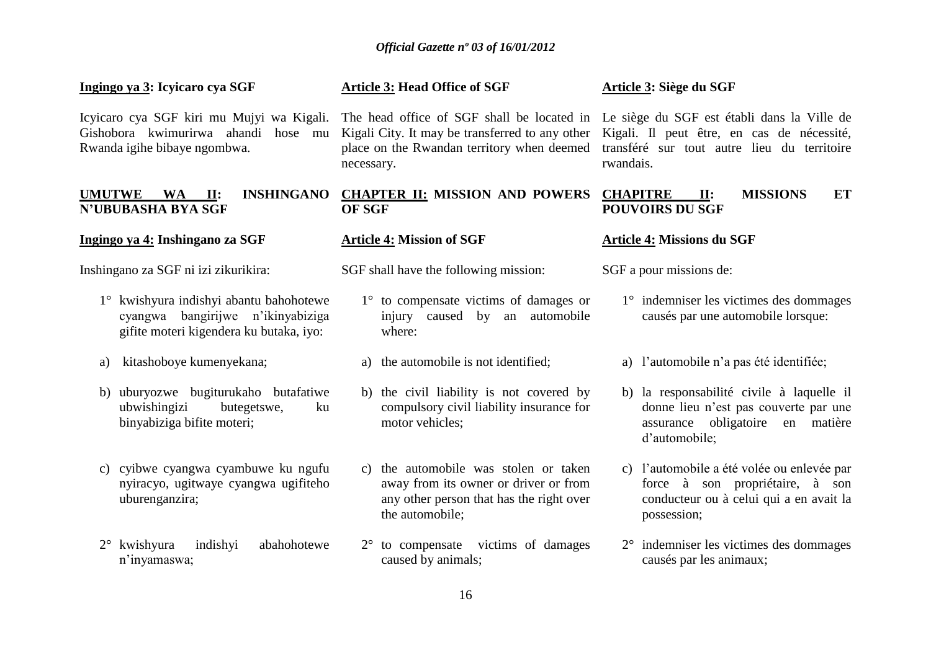### **Ingingo ya 3: Icyicaro cya SGF**

Gishobora kwimurirwa ahandi hose mu Rwanda igihe bibaye ngombwa.

### **UMUTWE WA II: INSHINGANO CHAPTER II: MISSION AND POWERS N'UBUBASHA BYA SGF**

### **Ingingo ya 4: Inshingano za SGF**

Inshingano za SGF ni izi zikurikira:

- 1° kwishyura indishyi abantu bahohotewe cyangwa bangirijwe n'ikinyabiziga gifite moteri kigendera ku butaka, iyo:
- a) kitashoboye kumenyekana;
- b) uburyozwe bugiturukaho butafatiwe ubwishingizi butegetswe, ku binyabiziga bifite moteri;
- c) cyibwe cyangwa cyambuwe ku ngufu nyiracyo, ugitwaye cyangwa ugifiteho uburenganzira;
- 2° kwishyura indishyi abahohotewe n'inyamaswa;

## **Article 3: Head Office of SGF**

Kigali City. It may be transferred to any other necessary.

## **OF SGF**

### **Article 4: Mission of SGF**

SGF shall have the following mission:

- 1° to compensate victims of damages or injury caused by an automobile where:
- a) the automobile is not identified;
- b) the civil liability is not covered by compulsory civil liability insurance for motor vehicles;
- c) the automobile was stolen or taken away from its owner or driver or from any other person that has the right over the automobile;
- 2° to compensate victims of damages caused by animals;

### **Article 3: Siège du SGF**

Icyicaro cya SGF kiri mu Mujyi wa Kigali. The head office of SGF shall be located in Le siège du SGF est établi dans la Ville de place on the Rwandan territory when deemed transféré sur tout autre lieu du territoire Kigali. Il peut être, en cas de nécessité, rwandais.

### **CHAPITRE II: MISSIONS ET POUVOIRS DU SGF**

### **Article 4: Missions du SGF**

SGF a pour missions de:

- 1° indemniser les victimes des dommages causés par une automobile lorsque:
- a) l'automobile n'a pas été identifiée;
- b) la responsabilité civile à laquelle il donne lieu n'est pas couverte par une assurance obligatoire en matière d'automobile;
- c) l'automobile a été volée ou enlevée par force à son propriétaire, à son conducteur ou à celui qui a en avait la possession;
- 2° indemniser les victimes des dommages causés par les animaux;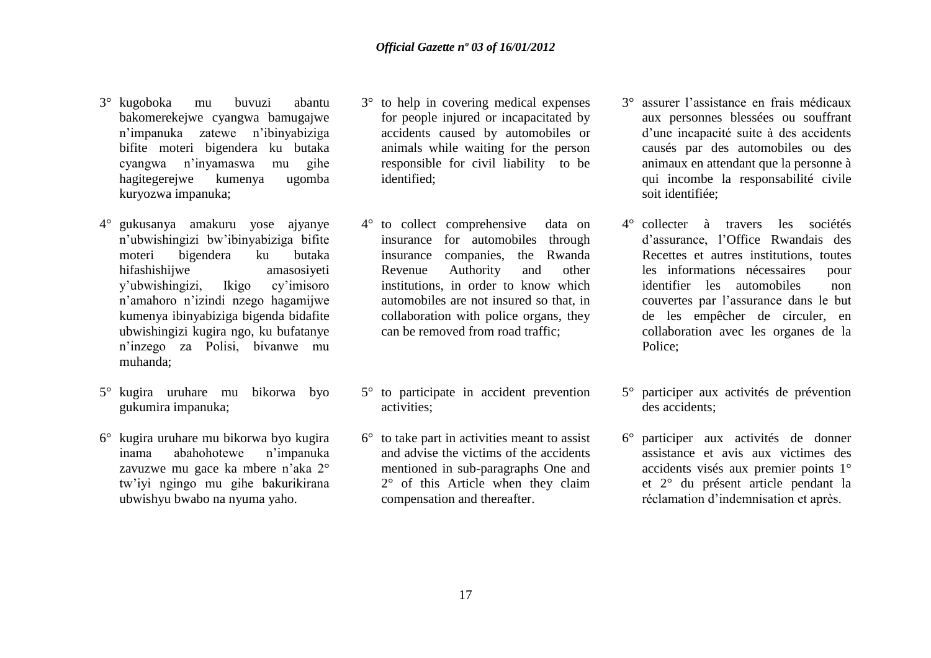- 3° kugoboka mu buvuzi abantu bakomerekejwe cyangwa bamugajwe n'impanuka zatewe n'ibinyabiziga bifite moteri bigendera ku butaka cyangwa n'inyamaswa mu gihe hagitegerejwe kumenya ugomba kuryozwa impanuka;
- 4° gukusanya amakuru yose ajyanye n'ubwishingizi bw'ibinyabiziga bifite moteri bigendera ku butaka hifashishijwe amasosiyeti y'ubwishingizi, Ikigo cy'imisoro n'amahoro n'izindi nzego hagamijwe kumenya ibinyabiziga bigenda bidafite ubwishingizi kugira ngo, ku bufatanye n'inzego za Polisi, bivanwe mu muhanda;
- 5° kugira uruhare mu bikorwa byo gukumira impanuka;
- 6° kugira uruhare mu bikorwa byo kugira inama abahohotewe n'impanuka zavuzwe mu gace ka mbere n'aka 2° tw'iyi ngingo mu gihe bakurikirana ubwishyu bwabo na nyuma yaho.
- 3° to help in covering medical expenses for people injured or incapacitated by accidents caused by automobiles or animals while waiting for the person responsible for civil liability to be identified;
- 4° to collect comprehensive data on insurance for automobiles through insurance companies, the Rwanda Revenue Authority and other institutions, in order to know which automobiles are not insured so that, in collaboration with police organs, they can be removed from road traffic;
- 5° to participate in accident prevention activities;
- 6° to take part in activities meant to assist and advise the victims of the accidents mentioned in sub-paragraphs One and 2° of this Article when they claim compensation and thereafter.
- 3° assurer l'assistance en frais médicaux aux personnes blessées ou souffrant d'une incapacité suite à des accidents causés par des automobiles ou des animaux en attendant que la personne à qui incombe la responsabilité civile soit identifiée;
- 4° collecter à travers les sociétés d'assurance, l'Office Rwandais des Recettes et autres institutions, toutes les informations nécessaires pour identifier les automobiles non couvertes par l'assurance dans le but de les empêcher de circuler, en collaboration avec les organes de la Police;
- 5° participer aux activités de prévention des accidents;
- 6° participer aux activités de donner assistance et avis aux victimes des accidents visés aux premier points 1° et 2° du présent article pendant la réclamation d'indemnisation et après.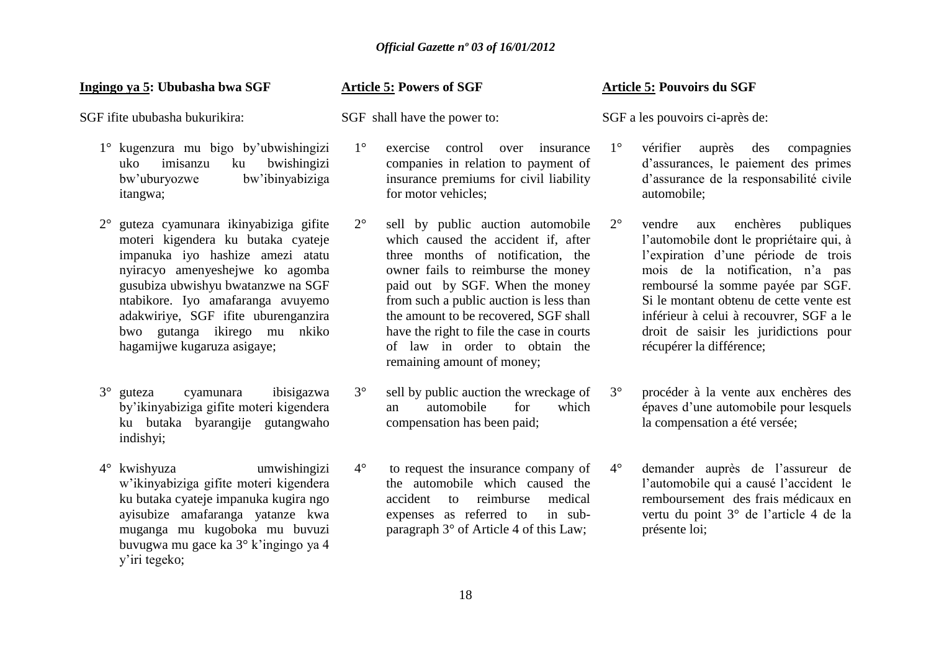### **Ingingo ya 5: Ububasha bwa SGF**

SGF ifite ububasha bukurikira:

- 1° kugenzura mu bigo by'ubwishingizi uko imisanzu ku bwishingizi bw'uburyozwe bw'ibinyabiziga itangwa;
- 2° guteza cyamunara ikinyabiziga gifite moteri kigendera ku butaka cyateje impanuka iyo hashize amezi atatu nyiracyo amenyeshejwe ko agomba gusubiza ubwishyu bwatanzwe na SGF ntabikore. Iyo amafaranga avuyemo adakwiriye, SGF ifite uburenganzira bwo gutanga ikirego mu nkiko hagamijwe kugaruza asigaye;
- 3° guteza cyamunara ibisigazwa by'ikinyabiziga gifite moteri kigendera ku butaka byarangije gutangwaho indishyi;
- 4° kwishyuza umwishingizi w'ikinyabiziga gifite moteri kigendera ku butaka cyateje impanuka kugira ngo ayisubize amafaranga yatanze kwa muganga mu kugoboka mu buvuzi buvugwa mu gace ka 3° k'ingingo ya 4 y'iri tegeko;

### **Article 5: Powers of SGF**

SGF shall have the power to:

- 1° exercise control over insurance companies in relation to payment of insurance premiums for civil liability for motor vehicles;
- 2° sell by public auction automobile which caused the accident if, after three months of notification, the owner fails to reimburse the money paid out by SGF. When the money from such a public auction is less than the amount to be recovered, SGF shall have the right to file the case in courts of law in order to obtain the remaining amount of money;
- 3° sell by public auction the wreckage of an automobile for which compensation has been paid;
- 4° to request the insurance company of the automobile which caused the accident to reimburse medical expenses as referred to in subparagraph 3° of Article 4 of this Law;

### **Article 5: Pouvoirs du SGF**

SGF a les pouvoirs ci-après de:

- 1° vérifier auprès des compagnies d'assurances, le paiement des primes d'assurance de la responsabilité civile automobile;
- 2° vendre aux enchères publiques l'automobile dont le propriétaire qui, à l'expiration d'une période de trois mois de la notification, n'a pas remboursé la somme payée par SGF. Si le montant obtenu de cette vente est inférieur à celui à recouvrer, SGF a le droit de saisir les juridictions pour récupérer la différence;
- 3° procéder à la vente aux enchères des épaves d'une automobile pour lesquels la compensation a été versée;
- 4° demander auprès de l'assureur de l'automobile qui a causé l'accident le remboursement des frais médicaux en vertu du point 3° de l'article 4 de la présente loi;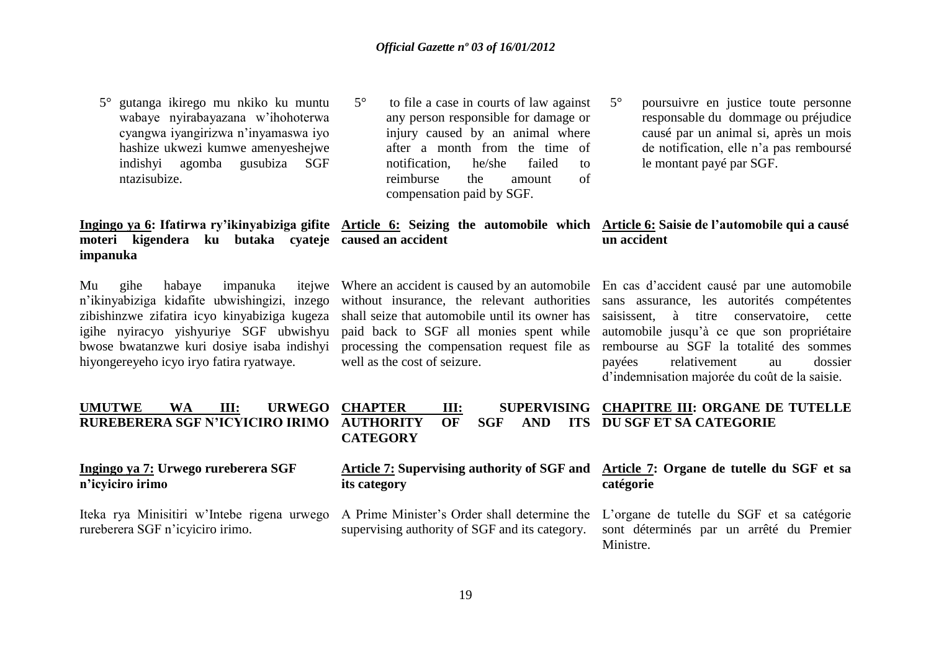5° gutanga ikirego mu nkiko ku muntu wabaye nyirabayazana w'ihohoterwa cyangwa iyangirizwa n'inyamaswa iyo hashize ukwezi kumwe amenyeshejwe indishyi agomba gusubiza SGF ntazisubize.

## **moteri kigendera ku butaka cyateje caused an accident impanuka**

Mu gihe habaye impanuka n'ikinyabiziga kidafite ubwishingizi, inzego igihe nyiracyo yishyuriye SGF ubwishyu bwose bwatanzwe kuri dosiye isaba indishyi hiyongereyeho icyo iryo fatira ryatwaye.

- 5° to file a case in courts of law against any person responsible for damage or injury caused by an animal where after a month from the time of notification, he/she failed to reimburse the amount of compensation paid by SGF.
- 5° poursuivre en justice toute personne responsable du dommage ou préjudice causé par un animal si, après un mois de notification, elle n'a pas remboursé le montant payé par SGF.

### **Ingingo ya 6: Ifatirwa ry'ikinyabiziga gifite Article 6: Seizing the automobile which Article 6: Saisie de l'automobile qui a causé un accident**

paid back to SGF all monies spent while well as the cost of seizure.

zibishinzwe zifatira icyo kinyabiziga kugeza shall seize that automobile until its owner has saisissent, à titre conservatoire, cette Where an accident is caused by an automobile En cas d'accident causé par une automobile without insurance, the relevant authorities sans assurance, les autorités compétentes processing the compensation request file as rembourse au SGF la totalité des sommes automobile jusqu'à ce que son propriétaire payées relativement au dossier d'indemnisation majorée du coût de la saisie.

### **UMUTWE WA III: URWEGO RUREBERERA SGF N'ICYICIRO IRIMO CHAPTER III: SUPERVISING CHAPITRE III: ORGANE DE TUTELLE AUTHORITY OF SGF AND CATEGORY DU SGF ET SA CATEGORIE**

### **Ingingo ya 7: Urwego rureberera SGF n'icyiciro irimo**

Iteka rya Minisitiri w'Intebe rigena urwego rureberera SGF n'icyiciro irimo.

**its category**

A Prime Minister's Order shall determine the supervising authority of SGF and its category.

### **Article 7: Supervising authority of SGF and Article 7: Organe de tutelle du SGF et sa catégorie**

L'organe de tutelle du SGF et sa catégorie sont déterminés par un arrêté du Premier Ministre.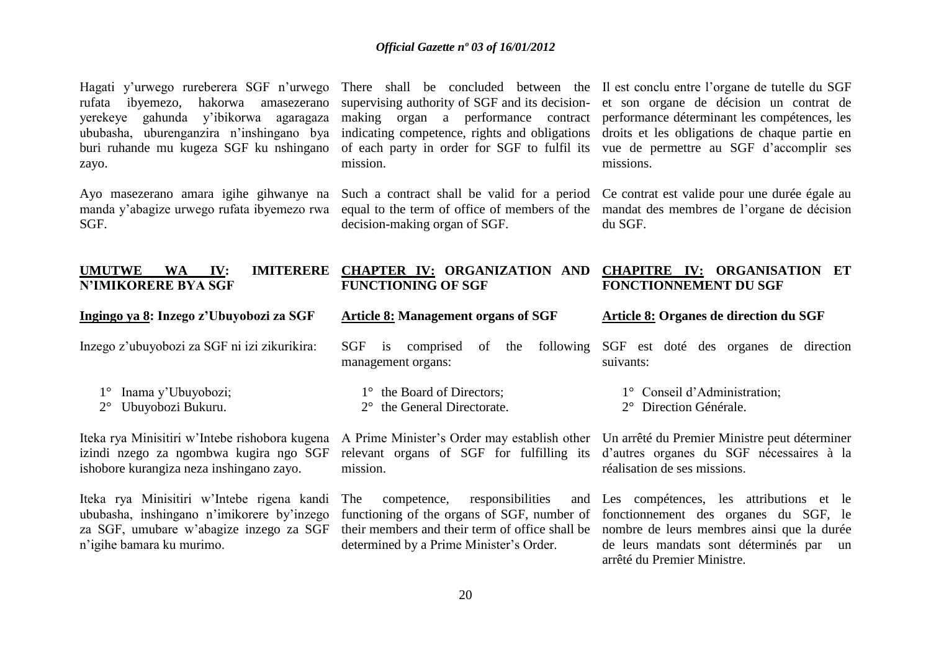Hagati y'urwego rureberera SGF n'urwego There shall be concluded between the Il est conclu entre l'organe de tutelle du SGF rufata ibyemezo, hakorwa amasezerano supervising authority of SGF and its decision- et son organe de décision un contrat de yerekeye gahunda y'ibikorwa agaragaza making organ a performance contract performance déterminant les compétences, les ububasha, uburenganzira n'inshingano bya indicating competence, rights and obligations droits et les obligations de chaque partie en buri ruhande mu kugeza SGF ku nshingano of each party in order for SGF to fulfil its vue de permettre au SGF d'accomplir ses zayo.

SGF.

mission.

decision-making organ of SGF.

missions.

Ayo masezerano amara igihe gihwanye na Such a contract shall be valid for a period Ce contrat est valide pour une durée égale au manda y'abagize urwego rufata ibyemezo rwa equal to the term of office of members of the mandat des membres de l'organe de décision du SGF.

| <b>UMUTWE</b><br><b>IMITERERE</b><br><b>WA</b><br>IV:<br><b>N'IMIKORERE BYA SGF</b>                                                                              | <b>CHAPTER IV: ORGANIZATION AND</b><br><b>FUNCTIONING OF SGF</b>                                                                        | <b>CHAPITRE IV: ORGANISATION ET</b><br><b>FONCTIONNEMENT DU SGF</b>                                                                                                                                                                                          |
|------------------------------------------------------------------------------------------------------------------------------------------------------------------|-----------------------------------------------------------------------------------------------------------------------------------------|--------------------------------------------------------------------------------------------------------------------------------------------------------------------------------------------------------------------------------------------------------------|
| Ingingo ya 8: Inzego z'Ubuyobozi za SGF                                                                                                                          | <b>Article 8: Management organs of SGF</b>                                                                                              | Article 8: Organes de direction du SGF                                                                                                                                                                                                                       |
| Inzego z'ubuyobozi za SGF ni izi zikurikira:                                                                                                                     | following<br><b>SGF</b><br>comprised<br>the<br><sub>of</sub><br>1S<br>management organs:                                                | SGF est doté des organes de direction<br>suivants:                                                                                                                                                                                                           |
| Inama y'Ubuyobozi;<br>Ubuyobozi Bukuru.<br>$2^{\circ}$                                                                                                           | 1° the Board of Directors;<br>$2^{\circ}$ the General Directorate.                                                                      | 1° Conseil d'Administration;<br>2° Direction Générale.                                                                                                                                                                                                       |
| Iteka rya Minisitiri w'Intebe rishobora kugena<br>izindi nzego za ngombwa kugira ngo SGF<br>ishobore kurangiza neza inshingano zayo.                             | A Prime Minister's Order may establish other<br>relevant organs of SGF for fulfilling its<br>mission.                                   | Un arrêté du Premier Ministre peut déterminer<br>d'autres organes du SGF nécessaires à la<br>réalisation de ses missions.                                                                                                                                    |
| Iteka rya Minisitiri w'Intebe rigena kandi<br>ububasha, inshingano n'imikorere by'inzego<br>za SGF, umubare w'abagize inzego za SGF<br>n'igihe bamara ku murimo. | responsibilities<br><b>The</b><br>competence,<br>functioning of the organs of SGF, number of<br>determined by a Prime Minister's Order. | and Les compétences, les attributions et le<br>fonctionnement des organes du SGF, le<br>their members and their term of office shall be nombre de leurs membres ainsi que la durée<br>de leurs mandats sont déterminés par un<br>arrêté du Premier Ministre. |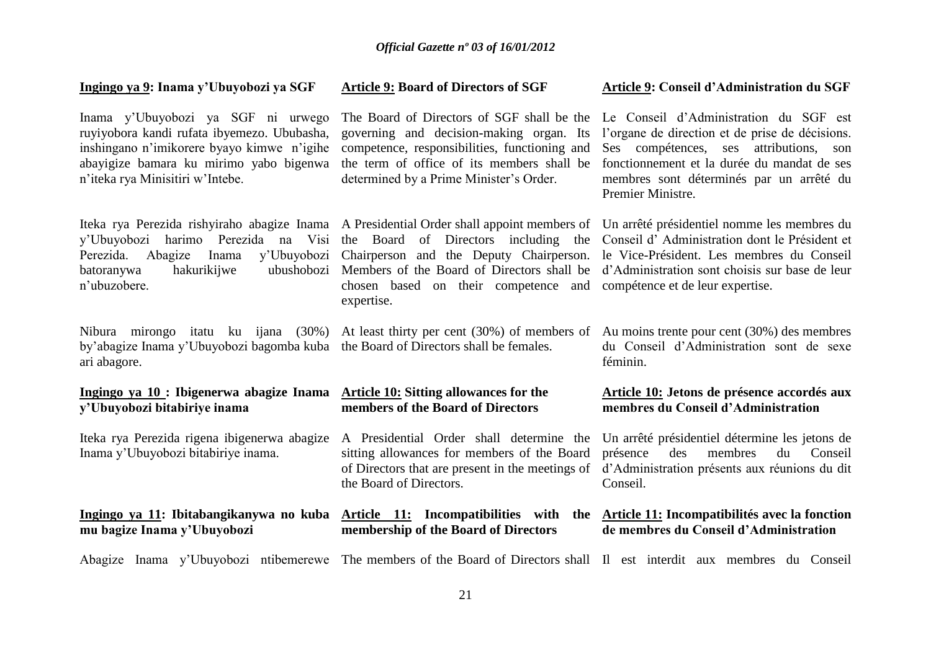### **Ingingo ya 9: Inama y'Ubuyobozi ya SGF** Inama y'Ubuyobozi ya SGF ni urwego ruyiyobora kandi rufata ibyemezo. Ububasha, inshingano n'imikorere byayo kimwe n'igihe abayigize bamara ku mirimo yabo bigenwa n'iteka rya Minisitiri w'Intebe. Iteka rya Perezida rishyiraho abagize Inama A Presidential Order shall appoint members of Un arrêté présidentiel nomme les membres du y'Ubuyobozi harimo Perezida na Visi the Board of Directors including the Conseil d' Administration dont le Président et Perezida. Abagize Inama y'Ubuyobozi Chairperson and the Deputy Chairperson. le Vice-Président. Les membres du Conseil batoranywa hakurikijwe n'ubuzobere. Nibura mirongo itatu ku ijana (30%) At least thirty per cent (30%) of members of Au moins trente pour cent (30%) des membres by'abagize Inama y'Ubuyobozi bagomba kuba the Board of Directors shall be females. ari abagore. **Ingingo ya 10 : Ibigenerwa abagize Inama Article 10: Sitting allowances for the y'Ubuyobozi bitabiriye inama** Iteka rya Perezida rigena ibigenerwa abagize A Presidential Order shall determine the Un arrêté présidentiel détermine les jetons de Inama y'Ubuyobozi bitabiriye inama. **Ingingo ya 11: Ibitabangikanywa no kuba Article 11: Incompatibilities with the Article 11: Incompatibilités avec la fonction mu bagize Inama y'Ubuyobozi**  Abagize Inama y'Ubuyobozi ntibemerewe The members of the Board of Directors shall Il est interdit aux membres du Conseil **Article 9: Board of Directors of SGF** The Board of Directors of SGF shall be the Le Conseil d'Administration du SGF est governing and decision-making organ. Its competence, responsibilities, functioning and the term of office of its members shall be determined by a Prime Minister's Order. Members of the Board of Directors shall be d'Administration sont choisis sur base de leur chosen based on their competence and compétence et de leur expertise. expertise. **members of the Board of Directors** sitting allowances for members of the Board of Directors that are present in the meetings of d'Administration présents aux réunions du dit the Board of Directors. **membership of the Board of Directors Article 9: Conseil d'Administration du SGF** l'organe de direction et de prise de décisions. Ses compétences, ses attributions, son fonctionnement et la durée du mandat de ses membres sont déterminés par un arrêté du Premier Ministre. du Conseil d'Administration sont de sexe féminin. **Article 10: Jetons de présence accordés aux membres du Conseil d'Administration** présence des membres du Conseil Conseil. **de membres du Conseil d'Administration**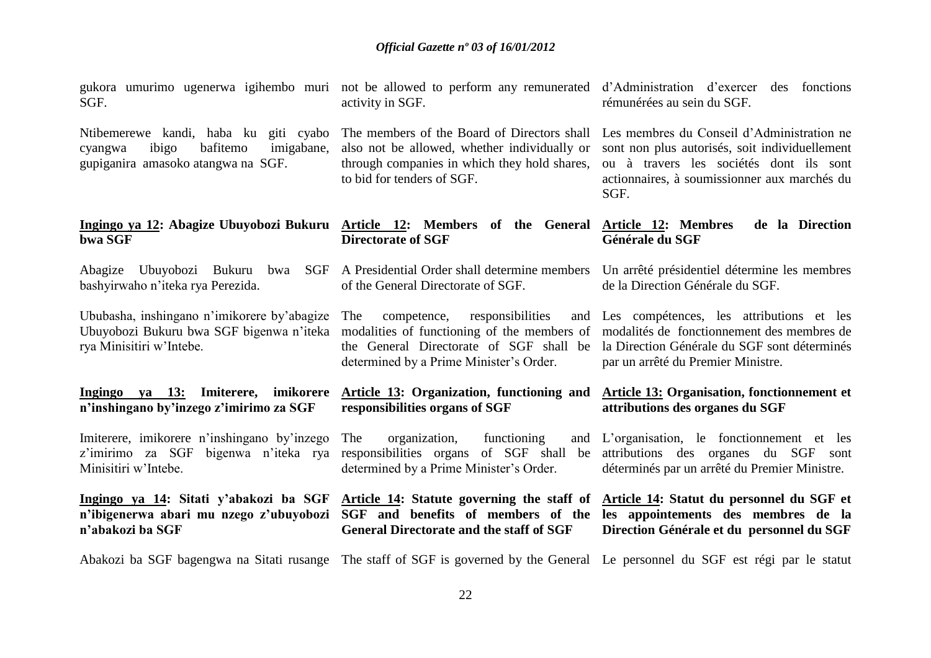SGF.

cyangwa ibigo bafitemo imigabane, also not be allowed, whether individually or gupiganira amasoko atangwa na SGF.

# **bwa SGF**

bashyirwaho n'iteka rya Perezida.

Ububasha, inshingano n'imikorere by'abagize Ubuyobozi Bukuru bwa SGF bigenwa n'iteka modalities of functioning of the members of modalités de fonctionnement des membres de rya Minisitiri w'Intebe.

### **Ingingo ya 13: Imiterere, imikorere n'inshingano by'inzego z'imirimo za SGF**

Imiterere, imikorere n'inshingano by'inzego z'imirimo za SGF bigenwa n'iteka rya Minisitiri w'Intebe.

**n'abakozi ba SGF**

activity in SGF.

through companies in which they hold shares, to bid for tenders of SGF.

**Ingingo ya 12: Abagize Ubuyobozi Bukuru Article 12: Members of the General Article 12: Membres de la Direction Directorate of SGF Générale du SGF**

Abagize Ubuyobozi Bukuru bwa SGF A Presidential Order shall determine members Un arrêté présidentiel détermine les membres of the General Directorate of SGF.

> competence, responsibilities the General Directorate of SGF shall be determined by a Prime Minister's Order. Les compétences, les attributions et les

**responsibilities organs of SGF**

### **Article 13: Organization, functioning and Article 13: Organisation, fonctionnement et attributions des organes du SGF**

par un arrêté du Premier Ministre.

The organization, functioning determined by a Prime Minister's Order.

Ingingo ya 14: Sitati y'abakozi ba SGF Article 14: Statute governing the staff of Article 14: Statut du personnel du SGF et **n'ibigenerwa abari mu nzego z'ubuyobozi SGF and benefits of members of the les appointements des membres de la General Directorate and the staff of SGF**

responsibilities organs of SGF shall be attributions des organes du SGF sont L'organisation, le fonctionnement et les déterminés par un arrêté du Premier Ministre.

# **Direction Générale et du personnel du SGF**

Abakozi ba SGF bagengwa na Sitati rusange The staff of SGF is governed by the General Le personnel du SGF est régi par le statut

gukora umurimo ugenerwa igihembo muri not be allowed to perform any remunerated d'Administration d'exercer des fonctions rémunérées au sein du SGF.

Ntibemerewe kandi, haba ku giti cyabo The members of the Board of Directors shall Les membres du Conseil d'Administration ne sont non plus autorisés, soit individuellement ou à travers les sociétés dont ils sont actionnaires, à soumissionner aux marchés du SGF.

de la Direction Générale du SGF.

la Direction Générale du SGF sont déterminés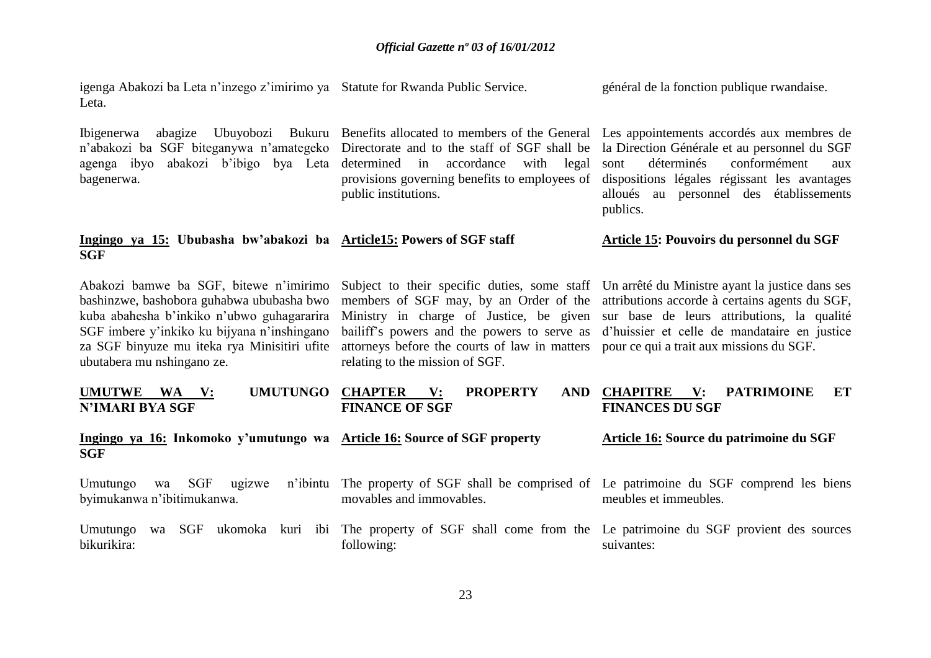| igenga Abakozi ba Leta n'inzego z'imirimo ya Statute for Rwanda Public Service.<br>Leta.                                                                                                                                                                       |                                                                                                                                                                                                                                                                      | général de la fonction publique rwandaise.                                                                                                                                                                                                    |
|----------------------------------------------------------------------------------------------------------------------------------------------------------------------------------------------------------------------------------------------------------------|----------------------------------------------------------------------------------------------------------------------------------------------------------------------------------------------------------------------------------------------------------------------|-----------------------------------------------------------------------------------------------------------------------------------------------------------------------------------------------------------------------------------------------|
| Ubuyobozi<br><i>Ibigenerwa</i><br>abagize<br>n'abakozi ba SGF biteganywa n'amategeko<br>abakozi b'ibigo bya Leta<br>agenga ibyo<br>bagenerwa.                                                                                                                  | Bukuru Benefits allocated to members of the General<br>Directorate and to the staff of SGF shall be<br>determined in accordance<br>with legal<br>provisions governing benefits to employees of<br>public institutions.                                               | Les appointements accordés aux membres de<br>la Direction Générale et au personnel du SGF<br>déterminés<br>conformément<br>sont<br>aux<br>dispositions légales régissant les avantages<br>alloués au personnel des établissements<br>publics. |
| Ingingo ya 15: Ububasha bw'abakozi ba Article15: Powers of SGF staff<br><b>SGF</b>                                                                                                                                                                             |                                                                                                                                                                                                                                                                      | Article 15: Pouvoirs du personnel du SGF                                                                                                                                                                                                      |
| Abakozi bamwe ba SGF, bitewe n'imirimo<br>bashinzwe, bashobora guhabwa ububasha bwo<br>kuba abahesha b'inkiko n'ubwo guhagararira<br>SGF imbere y'inkiko ku bijyana n'inshingano<br>za SGF binyuze mu iteka rya Minisitiri ufite<br>ubutabera mu nshingano ze. | Subject to their specific duties, some staff<br>members of SGF may, by an Order of the<br>Ministry in charge of Justice, be given<br>bailiff's powers and the powers to serve as<br>attorneys before the courts of law in matters<br>relating to the mission of SGF. | Un arrêté du Ministre ayant la justice dans ses<br>attributions accorde à certains agents du SGF,<br>sur base de leurs attributions, la qualité<br>d'huissier et celle de mandataire en justice<br>pour ce qui a trait aux missions du SGF.   |
| <b>UMUTUNGO</b><br><b>UMUTWE</b><br><b>WA</b><br>$\mathbf{V}$ :<br><b>N'IMARI BYA SGF</b>                                                                                                                                                                      | <b>CHAPTER</b><br><b>PROPERTY</b><br>$\mathbf{V}$ :<br><b>AND</b><br><b>FINANCE OF SGF</b>                                                                                                                                                                           | <b>CHAPITRE</b><br><b>PATRIMOINE</b><br>$\mathbf{V}$ :<br>ET<br><b>FINANCES DU SGF</b>                                                                                                                                                        |
| Ingingo ya 16: Inkomoko y'umutungo wa Article 16: Source of SGF property<br><b>SGF</b>                                                                                                                                                                         |                                                                                                                                                                                                                                                                      | Article 16: Source du patrimoine du SGF                                                                                                                                                                                                       |
| <b>SGF</b><br>Umutungo<br>ugizwe<br>wa<br>byimukanwa n'ibitimukanwa.                                                                                                                                                                                           | n'ibintu The property of SGF shall be comprised of Le patrimoine du SGF comprend les biens<br>movables and immovables.                                                                                                                                               | meubles et immeubles.                                                                                                                                                                                                                         |
| Umutungo<br>wa SGF<br>bikurikira:                                                                                                                                                                                                                              | ukomoka kuri ibi The property of SGF shall come from the Le patrimoine du SGF provient des sources<br>following:                                                                                                                                                     | suivantes:                                                                                                                                                                                                                                    |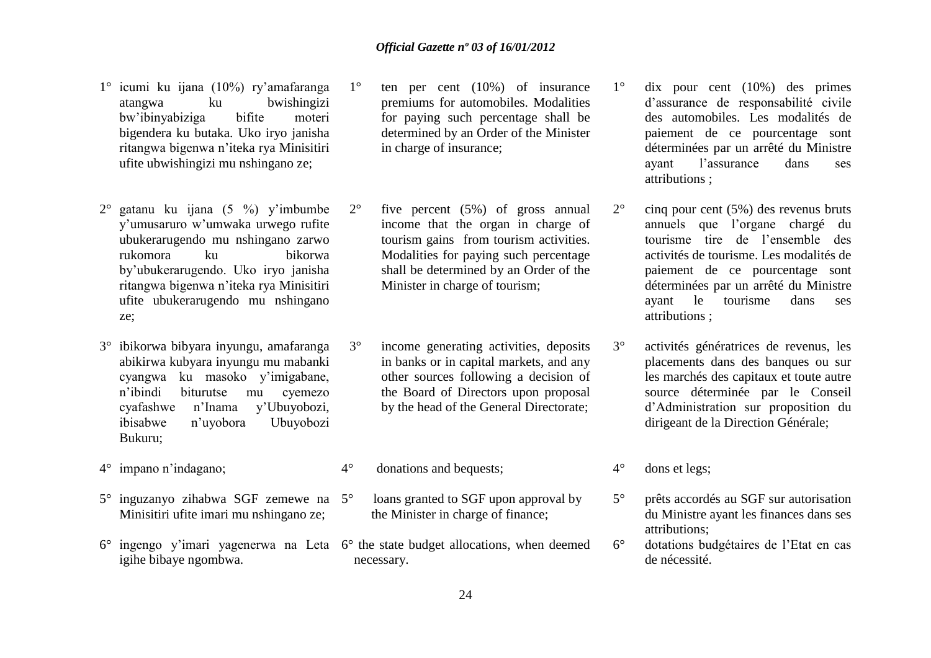- 1° icumi ku ijana (10%) ry'amafaranga atangwa ku bwishingizi bw'ibinyabiziga bifite moteri bigendera ku butaka. Uko iryo janisha ritangwa bigenwa n'iteka rya Minisitiri ufite ubwishingizi mu nshingano ze;
- 2° gatanu ku ijana (5 %) y'imbumbe y'umusaruro w'umwaka urwego rufite ubukerarugendo mu nshingano zarwo rukomora ku bikorwa by'ubukerarugendo. Uko iryo janisha ritangwa bigenwa n'iteka rya Minisitiri ufite ubukerarugendo mu nshingano ze;
- 3° ibikorwa bibyara inyungu, amafaranga abikirwa kubyara inyungu mu mabanki cyangwa ku masoko y'imigabane, n'ibindi biturutse mu cyemezo cyafashwe n'Inama y'Ubuyobozi, ibisabwe n'uyobora Ubuyobozi Bukuru;
- 4° impano n'indagano;
- 5° inguzanyo zihabwa SGF zemewe na Minisitiri ufite imari mu nshingano ze;
- 6° ingengo y'imari yagenerwa na Leta 6° the state budget allocations, when deemed igihe bibaye ngombwa.
- 1° ten per cent (10%) of insurance premiums for automobiles. Modalities for paying such percentage shall be determined by an Order of the Minister in charge of insurance;
- 2° five percent (5%) of gross annual income that the organ in charge of tourism gains from tourism activities. Modalities for paying such percentage shall be determined by an Order of the Minister in charge of tourism;
- 3° income generating activities, deposits in banks or in capital markets, and any other sources following a decision of the Board of Directors upon proposal by the head of the General Directorate;
- 4° donations and bequests;
	- loans granted to SGF upon approval by the Minister in charge of finance;
- necessary.
- 1° dix pour cent (10%) des primes d'assurance de responsabilité civile des automobiles. Les modalités de paiement de ce pourcentage sont déterminées par un arrêté du Ministre ayant l'assurance dans ses attributions ;
- 2° cinq pour cent (5%) des revenus bruts annuels que l'organe chargé du tourisme tire de l'ensemble des activités de tourisme. Les modalités de paiement de ce pourcentage sont déterminées par un arrêté du Ministre ayant le tourisme dans ses attributions ;
- 3° activités génératrices de revenus, les placements dans des banques ou sur les marchés des capitaux et toute autre source déterminée par le Conseil d'Administration sur proposition du dirigeant de la Direction Générale;
- 4° dons et legs;
- 5° prêts accordés au SGF sur autorisation du Ministre ayant les finances dans ses attributions;
- 6° dotations budgétaires de l'Etat en cas de nécessité.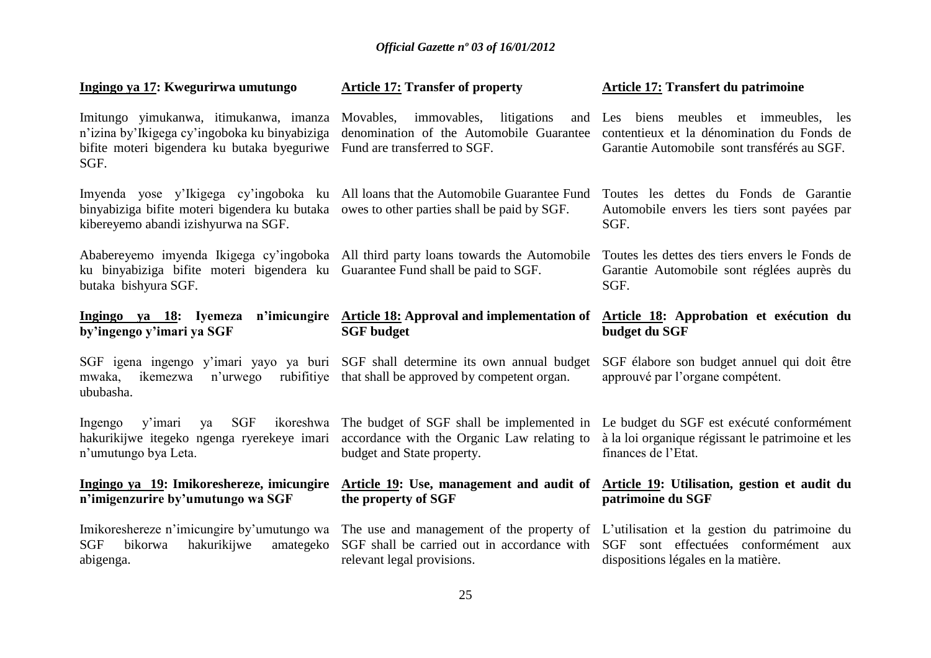| Ingingo ya 17: Kwegurirwa umutungo                                                                                                                                                                                      | <b>Article 17: Transfer of property</b>                                                                                                                                                                                                             | Article 17: Transfert du patrimoine                                                                                              |
|-------------------------------------------------------------------------------------------------------------------------------------------------------------------------------------------------------------------------|-----------------------------------------------------------------------------------------------------------------------------------------------------------------------------------------------------------------------------------------------------|----------------------------------------------------------------------------------------------------------------------------------|
| Imitungo yimukanwa, itimukanwa, imanza<br>n'izina by'Ikigega cy'ingoboka ku binyabiziga<br>bifite moteri bigendera ku butaka byeguriwe<br>SGF.                                                                          | immovables, litigations<br>Movables,<br>and<br>denomination of the Automobile Guarantee<br>Fund are transferred to SGF.                                                                                                                             | Les biens meubles et immeubles, les<br>contentieux et la dénomination du Fonds de<br>Garantie Automobile sont transférés au SGF. |
| Imyenda yose y'Ikigega cy'ingoboka ku All loans that the Automobile Guarantee Fund<br>binyabiziga bifite moteri bigendera ku butaka owes to other parties shall be paid by SGF.<br>kibereyemo abandi izishyurwa na SGF. |                                                                                                                                                                                                                                                     | Toutes les dettes du Fonds de Garantie<br>Automobile envers les tiers sont payées par<br>SGF.                                    |
| Ababereyemo imyenda Ikigega cy'ingoboka All third party loans towards the Automobile<br>ku binyabiziga bifite moteri bigendera ku Guarantee Fund shall be paid to SGF.<br>butaka bishyura SGF.                          |                                                                                                                                                                                                                                                     | Toutes les dettes des tiers envers le Fonds de<br>Garantie Automobile sont réglées auprès du<br>SGF.                             |
| by'ingengo y'imari ya SGF                                                                                                                                                                                               | Ingingo ya 18: Iyemeza n'imicungire Article 18: Approval and implementation of Article 18: Approbation et exécution du<br><b>SGF</b> budget                                                                                                         | budget du SGF                                                                                                                    |
| SGF igena ingengo y'imari yayo ya buri SGF shall determine its own annual budget<br>mwaka,<br>n'urwego<br>ikemezwa<br>ububasha.                                                                                         | rubifitive that shall be approved by competent organ.                                                                                                                                                                                               | SGF élabore son budget annuel qui doit être<br>approuvé par l'organe compétent.                                                  |
| <b>SGF</b><br>ikoreshwa<br>y'imari<br>Ingengo<br>ya<br>hakurikijwe itegeko ngenga ryerekeye imari<br>n'umutungo bya Leta.                                                                                               | The budget of SGF shall be implemented in<br>accordance with the Organic Law relating to<br>budget and State property.                                                                                                                              | Le budget du SGF est exécuté conformément<br>à la loi organique régissant le patrimoine et les<br>finances de l'Etat.            |
| Ingingo ya 19: Imikoreshereze, imicungire<br>n'imigenzurire by'umutungo wa SGF                                                                                                                                          | Article 19: Use, management and audit of Article 19: Utilisation, gestion et audit du<br>the property of SGF                                                                                                                                        | patrimoine du SGF                                                                                                                |
| <b>SGF</b><br>bikorwa<br>hakurikijwe<br>amategeko<br>abigenga.                                                                                                                                                          | Imikoreshereze n'imicungire by'umutungo wa The use and management of the property of L'utilisation et la gestion du patrimoine du<br>SGF shall be carried out in accordance with SGF sont effectuées conformément aux<br>relevant legal provisions. | dispositions légales en la matière.                                                                                              |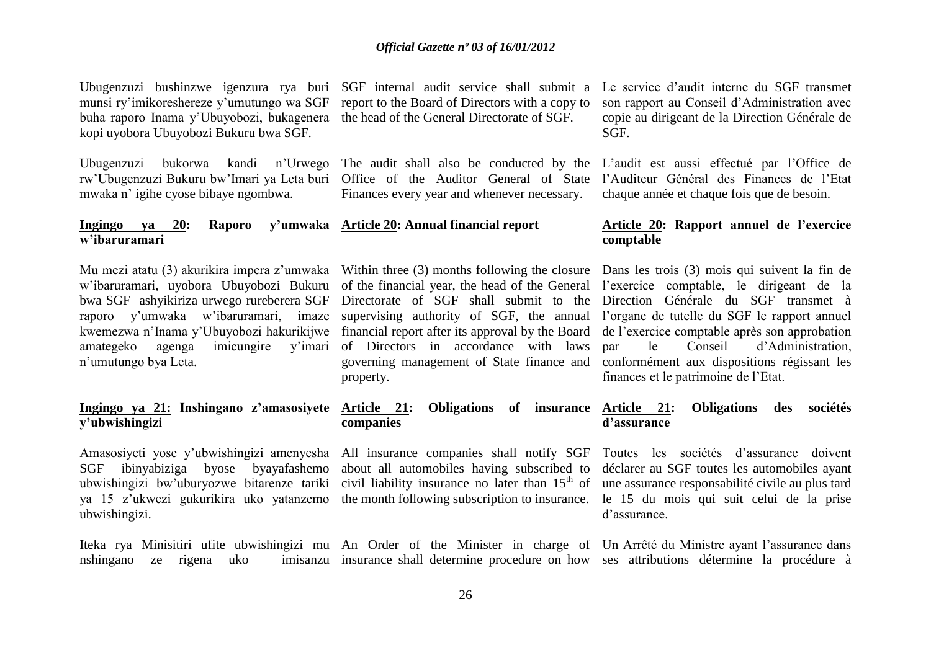munsi ry'imikoreshereze y'umutungo wa SGF report to the Board of Directors with a copy to buha raporo Inama y'Ubuyobozi, bukagenera the head of the General Directorate of SGF. kopi uyobora Ubuyobozi Bukuru bwa SGF.

rw'Ubugenzuzi Bukuru bw'Imari ya Leta buri Office of the Auditor General of State l'Auditeur Général des Finances de l'Etat mwaka n' igihe cyose bibaye ngombwa.

### **Ingingo ya 20: Raporo w'ibaruramari**

amategeko agenga imicungire n'umutungo bya Leta.

### **Ingingo ya 21: Inshingano z'amasosiyete y'ubwishingizi**

ubwishingizi.

Finances every year and whenever necessary.

## **Article 20: Annual financial report**

v'imari of Directors in accordance with laws par property.

### **Article 21: Obligations of insurance companies**

Ubugenzuzi bushinzwe igenzura rya buri SGF internal audit service shall submit a Le service d'audit interne du SGF transmet son rapport au Conseil d'Administration avec copie au dirigeant de la Direction Générale de SGF.

Ubugenzuzi bukorwa kandi n'Urwego The audit shall also be conducted by the L'audit est aussi effectué par l'Office de chaque année et chaque fois que de besoin.

### **Article 20: Rapport annuel de l'exercice comptable**

Mu mezi atatu (3) akurikira impera z'umwaka Within three (3) months following the closure Dans les trois (3) mois qui suivent la fin de w'ibaruramari, uyobora Ubuyobozi Bukuru of the financial year, the head of the General l'exercice comptable, le dirigeant de la bwa SGF ashyikiriza urwego rureberera SGF Directorate of SGF shall submit to the Direction Générale du SGF transmet à raporo y'umwaka w'ibaruramari, imaze supervising authority of SGF, the annual l'organe de tutelle du SGF le rapport annuel kwemezwa n'Inama y'Ubuyobozi hakurikijwe financial report after its approval by the Board de l'exercice comptable après son approbation governing management of State finance and conformément aux dispositions régissant les le Conseil d'Administration. finances et le patrimoine de l'Etat.

### **Article 21: Obligations des sociétés d'assurance**

Amasosiyeti yose y'ubwishingizi amenyesha All insurance companies shall notify SGF Toutes les sociétés d'assurance doivent SGF ibinyabiziga byose byayafashemo about all automobiles having subscribed to déclarer au SGF toutes les automobiles ayant ubwishingizi bw'uburyozwe bitarenze tariki civil liability insurance no later than 15<sup>th</sup> of une assurance responsabilité civile au plus tard ya 15 z'ukwezi gukurikira uko yatanzemo the month following subscription to insurance. le 15 du mois qui suit celui de la prise d'assurance.

Iteka rya Minisitiri ufite ubwishingizi mu An Order of the Minister in charge of Un Arrêté du Ministre ayant l'assurance dans nshingano ze rigena uko insurance shall determine procedure on how ses attributions détermine la procédure à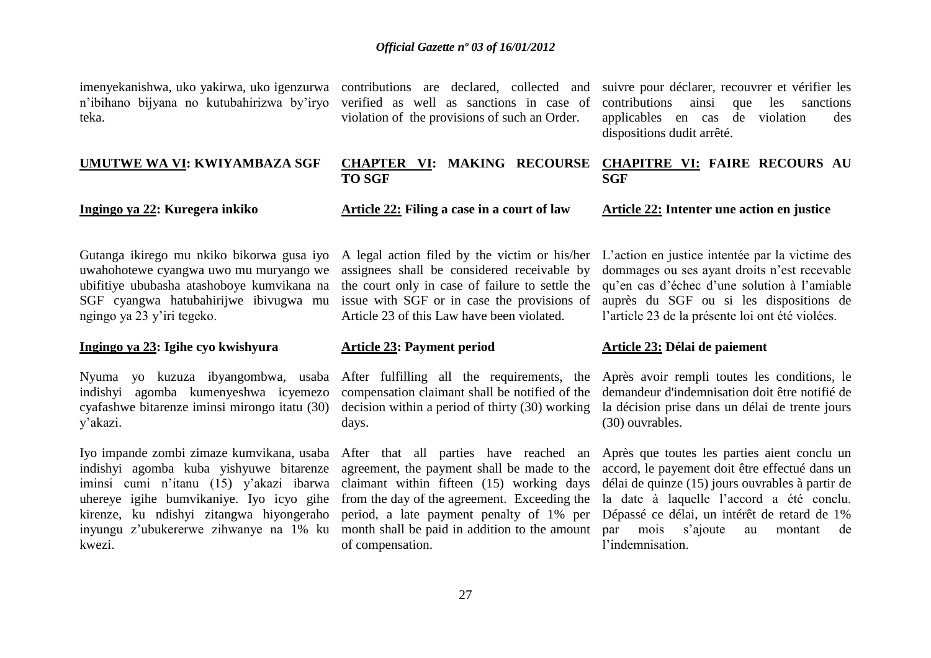n'ibihano bijyana no kutubahirizwa by'iryo teka.

### **UMUTWE WA VI: KWIYAMBAZA SGF**

## **Ingingo ya 22: Kuregera inkiko**

verified as well as sanctions in case of violation of the provisions of such an Order.

imenyekanishwa, uko yakirwa, uko igenzurwa contributions are declared, collected and suivre pour déclarer, recouvrer et vérifier les contributions ainsi que les sanctions applicables en cas de violation des dispositions dudit arrêté.

### **CHAPTER VI: MAKING RECOURSE TO SGF CHAPITRE VI: FAIRE RECOURS AU SGF**

### **Article 22: Filing a case in a court of law**

Gutanga ikirego mu nkiko bikorwa gusa iyo A legal action filed by the victim or his/her uwahohotewe cyangwa uwo mu muryango we ubifitiye ububasha atashoboye kumvikana na SGF cyangwa hatubahirijwe ibivugwa mu ngingo ya 23 y'iri tegeko.

### **Ingingo ya 23: Igihe cyo kwishyura**

indishyi agomba kumenyeshwa icyemezo cyafashwe bitarenze iminsi mirongo itatu (30) y'akazi.

Iyo impande zombi zimaze kumvikana, usaba After that all parties have reached an indishyi agomba kuba yishyuwe bitarenze iminsi cumi n'itanu (15) y'akazi ibarwa uhereye igihe bumvikaniye. Iyo icyo gihe from the day of the agreement. Exceeding the kirenze, ku ndishyi zitangwa hiyongeraho kwezi.

assignees shall be considered receivable by the court only in case of failure to settle the issue with SGF or in case the provisions of Article 23 of this Law have been violated.

**Article 23: Payment period**

Nyuma yo kuzuza ibyangombwa, usaba After fulfilling all the requirements, the compensation claimant shall be notified of the decision within a period of thirty (30) working days.

> agreement, the payment shall be made to the claimant within fifteen (15) working days of compensation.

# **Article 22: Intenter une action en justice**

L'action en justice intentée par la victime des dommages ou ses ayant droits n'est recevable qu'en cas d'échec d'une solution à l'amiable auprès du SGF ou si les dispositions de l'article 23 de la présente loi ont été violées.

### **Article 23: Délai de paiement**

Après avoir rempli toutes les conditions, le demandeur d'indemnisation doit être notifié de la décision prise dans un délai de trente jours (30) ouvrables.

inyungu z'ubukererwe zihwanye na 1% ku month shall be paid in addition to the amount par mois s'ajoute au montant de period, a late payment penalty of 1% per Dépassé ce délai, un intérêt de retard de 1% Après que toutes les parties aient conclu un accord, le payement doit être effectué dans un délai de quinze (15) jours ouvrables à partir de la date à laquelle l'accord a été conclu. l'indemnisation.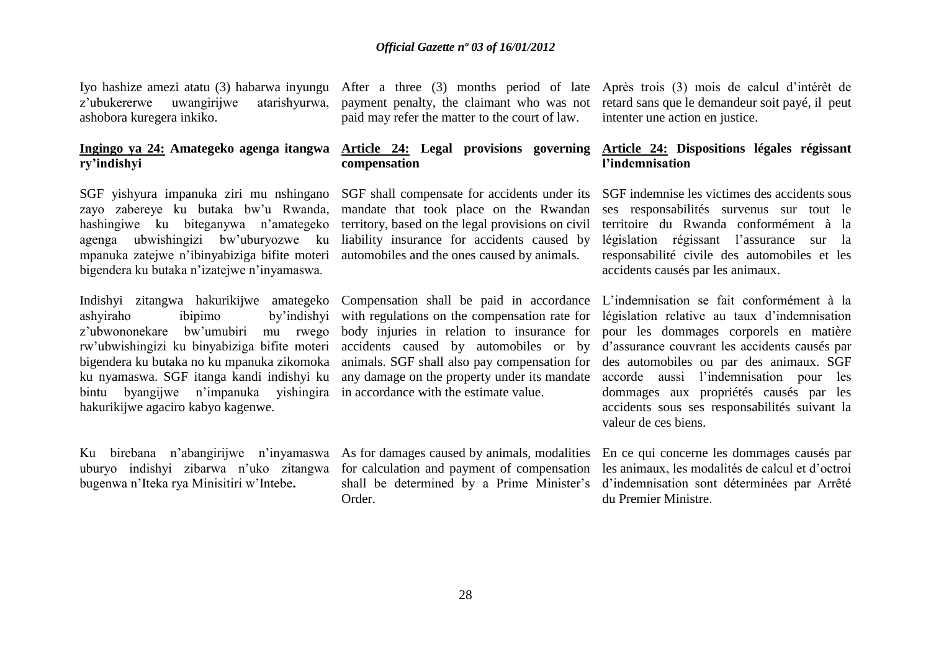z'ubukererwe uwangirijwe atarishyurwa, ashobora kuregera inkiko.

## **ry'indishyi**

zayo zabereye ku butaka bw'u Rwanda, hashingiwe ku biteganywa n'amategeko agenga ubwishingizi bw'uburyozwe ku mpanuka zatejwe n'ibinyabiziga bifite moteri bigendera ku butaka n'izatejwe n'inyamaswa.

Indishyi zitangwa hakurikijwe amategeko Compensation shall be paid in accordance bintu byangijwe n'impanuka yishingira in accordance with the estimate value. hakurikijwe agaciro kabyo kagenwe.

Ku birebana n'abangirijwe n'inyamaswa As for damages caused by animals, modalities uburyo indishyi zibarwa n'uko zitangwa for calculation and payment of compensation bugenwa n'Iteka rya Minisitiri w'Intebe**.**

payment penalty, the claimant who was not paid may refer the matter to the court of law.

## **compensation**

territory, based on the legal provisions on civil liability insurance for accidents caused by automobiles and the ones caused by animals.

ashyiraho ibipimo by'indishyi with regulations on the compensation rate for z'ubwononekare bw'umubiri mu rwego body injuries in relation to insurance for rw'ubwishingizi ku binyabiziga bifite moteri accidents caused by automobiles or by bigendera ku butaka no ku mpanuka zikomoka animals. SGF shall also pay compensation for

Order.

Iyo hashize amezi atatu (3) habarwa inyungu After a three (3) months period of late Après trois (3) mois de calcul d'intérêt de retard sans que le demandeur soit payé, il peut intenter une action en justice.

### **Ingingo ya 24: Amategeko agenga itangwa Article 24: Legal provisions governing Article 24: Dispositions légales régissant l'indemnisation**

SGF yishyura impanuka ziri mu nshingano SGF shall compensate for accidents under its SGF indemnise les victimes des accidents sous mandate that took place on the Rwandan ses responsabilités survenus sur tout le territoire du Rwanda conformément à la législation régissant l'assurance sur la responsabilité civile des automobiles et les accidents causés par les animaux.

ku nyamaswa. SGF itanga kandi indishyi ku any damage on the property under its mandate accorde aussi l'indemnisation pour les L'indemnisation se fait conformément à la législation relative au taux d'indemnisation pour les dommages corporels en matière d'assurance couvrant les accidents causés par des automobiles ou par des animaux. SGF dommages aux propriétés causés par les accidents sous ses responsabilités suivant la valeur de ces biens.

> shall be determined by a Prime Minister's d'indemnisation sont déterminées par Arrêté En ce qui concerne les dommages causés par les animaux, les modalités de calcul et d'octroi du Premier Ministre.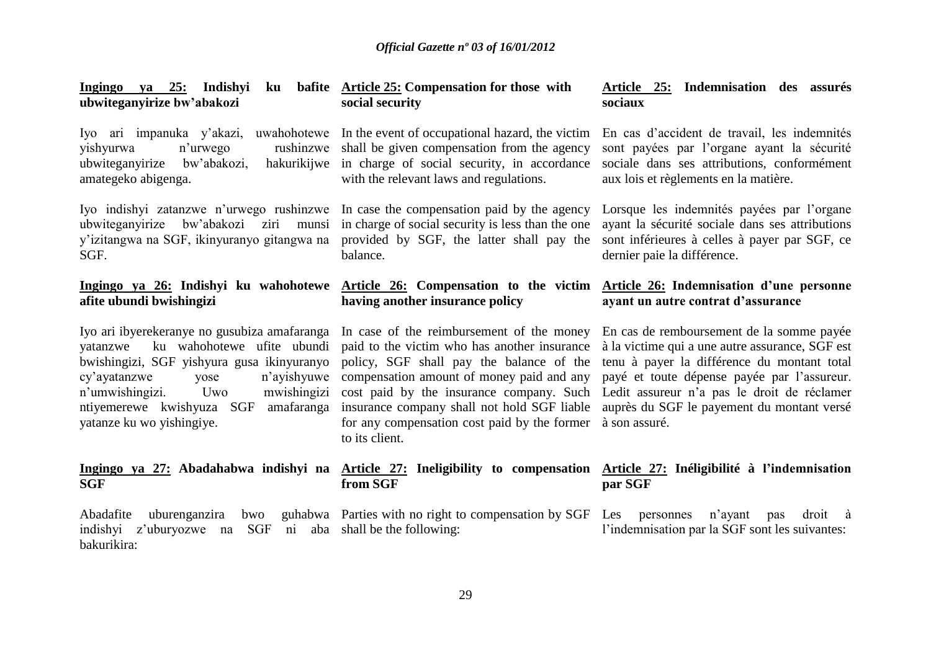**Ingingo ya 25: Indishyi ku bafite Article 25: Compensation for those with ubwiteganyirize bw'abakozi** Iyo ari impanuka y'akazi, uwahohotewe In the event of occupational hazard, the victim yishyurwa n'urwego rushinzwe shall be given compensation from the agency ubwiteganyirize bw'abakozi, amategeko abigenga. Iyo indishyi zatanzwe n'urwego rushinzwe In case the compensation paid by the agency ubwiteganyirize bw'abakozi ziri munsi in charge of social security is less than the one y'izitangwa na SGF, ikinyuranyo gitangwa na provided by SGF, the latter shall pay the SGF. **Ingingo ya 26: Indishyi ku wahohotewe afite ubundi bwishingizi** Iyo ari ibyerekeranye no gusubiza amafaranga In case of the reimbursement of the money yatanzwe ku wahohotewe ufite ubundi bwishingizi, SGF yishyura gusa ikinyuranyo policy, SGF shall pay the balance of the cy'ayatanzwe vose n'umwishingizi. Uwo ntiyemerewe kwishyuza SGF amafaranga insurance company shall not hold SGF liable yatanze ku wo yishingiye. **Ingingo ya 27: Abadahabwa indishyi na Article 27: Ineligibility to compensation Article 27: Inéligibilité à l'indemnisation SGF** Abadafite uburenganzira bwo guhabwa Parties with no right to compensation by SGF Les personnes n'ayant pas droit à indishyi z'uburyozwe na SGF ni aba shall be the following: bakurikira: **social security**  hakurikiiwe in charge of social security, in accordance with the relevant laws and regulations. balance. **Article 26: Compensation to the victim Article 26: Indemnisation d'une personne having another insurance policy** paid to the victim who has another insurance n'avishyuwe compensation amount of money paid and any cost paid by the insurance company. Such Ledit assureur n'a pas le droit de réclamer for any compensation cost paid by the former à son assuré. to its client. **from SGF Article 25: Indemnisation des assurés sociaux** En cas d'accident de travail, les indemnités sont payées par l'organe ayant la sécurité sociale dans ses attributions, conformément aux lois et règlements en la matière. Lorsque les indemnités payées par l'organe ayant la sécurité sociale dans ses attributions sont inférieures à celles à payer par SGF, ce dernier paie la différence. **ayant un autre contrat d'assurance** En cas de remboursement de la somme payée à la victime qui a une autre assurance, SGF est tenu à payer la différence du montant total payé et toute dépense payée par l'assureur. auprès du SGF le payement du montant versé **par SGF** l'indemnisation par la SGF sont les suivantes: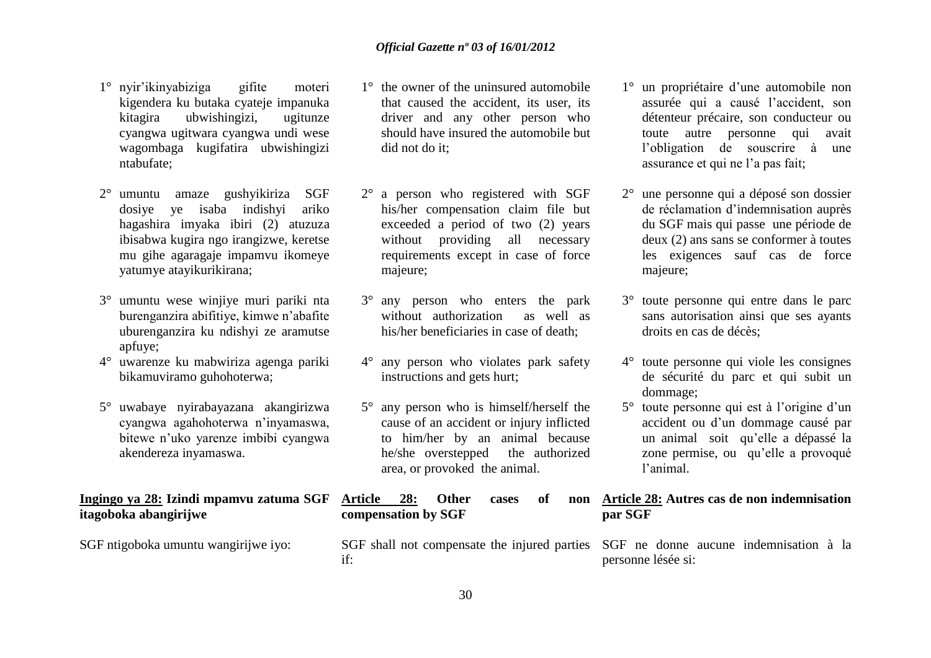- 1° nyir'ikinyabiziga gifite moteri kigendera ku butaka cyateje impanuka kitagira ubwishingizi, ugitunze cyangwa ugitwara cyangwa undi wese wagombaga kugifatira ubwishingizi ntabufate;
- 2° umuntu amaze gushyikiriza SGF dosiye ye isaba indishyi ariko hagashira imyaka ibiri (2) atuzuza ibisabwa kugira ngo irangizwe, keretse mu gihe agaragaje impamvu ikomeye yatumye atayikurikirana;
- 3° umuntu wese winjiye muri pariki nta burenganzira abifitiye, kimwe n'abafite uburenganzira ku ndishyi ze aramutse apfuye;
- 4° uwarenze ku mabwiriza agenga pariki bikamuviramo guhohoterwa;
- 5° uwabaye nyirabayazana akangirizwa cyangwa agahohoterwa n'inyamaswa, bitewe n'uko yarenze imbibi cyangwa akendereza inyamaswa.

### **Ingingo ya 28: Izindi mpamvu zatuma SGF itagoboka abangirijwe**

SGF ntigoboka umuntu wangirijwe iyo:

- 1° the owner of the uninsured automobile that caused the accident, its user, its driver and any other person who should have insured the automobile but did not do it;
- 2° a person who registered with SGF his/her compensation claim file but exceeded a period of two (2) years without providing all necessary requirements except in case of force majeure;
- 3° any person who enters the park without authorization as well as his/her beneficiaries in case of death;
- 4° any person who violates park safety instructions and gets hurt;
- 5° any person who is himself/herself the cause of an accident or injury inflicted to him/her by an animal because he/she overstepped the authorized area, or provoked the animal.

Article 28: Other cases of **compensation by SGF** 

if:

- 1° un propriétaire d'une automobile non assurée qui a causé l'accident, son détenteur précaire, son conducteur ou toute autre personne qui avait l'obligation de souscrire à une assurance et qui ne l'a pas fait;
- 2° une personne qui a déposé son dossier de réclamation d'indemnisation auprès du SGF mais qui passe une période de deux (2) ans sans se conformer à toutes les exigences sauf cas de force majeure;
- 3° toute personne qui entre dans le parc sans autorisation ainsi que ses ayants droits en cas de décès;
- 4° toute personne qui viole les consignes de sécurité du parc et qui subit un dommage;
- 5° toute personne qui est à l'origine d'un accident ou d'un dommage causé par un animal soit qu'elle a dépassé la zone permise, ou qu'elle a provoqué l'animal.

### **Article 28: Autres cas de non indemnisation par SGF**

SGF shall not compensate the injured parties SGF ne donne aucune indemnisation à la personne lésée si: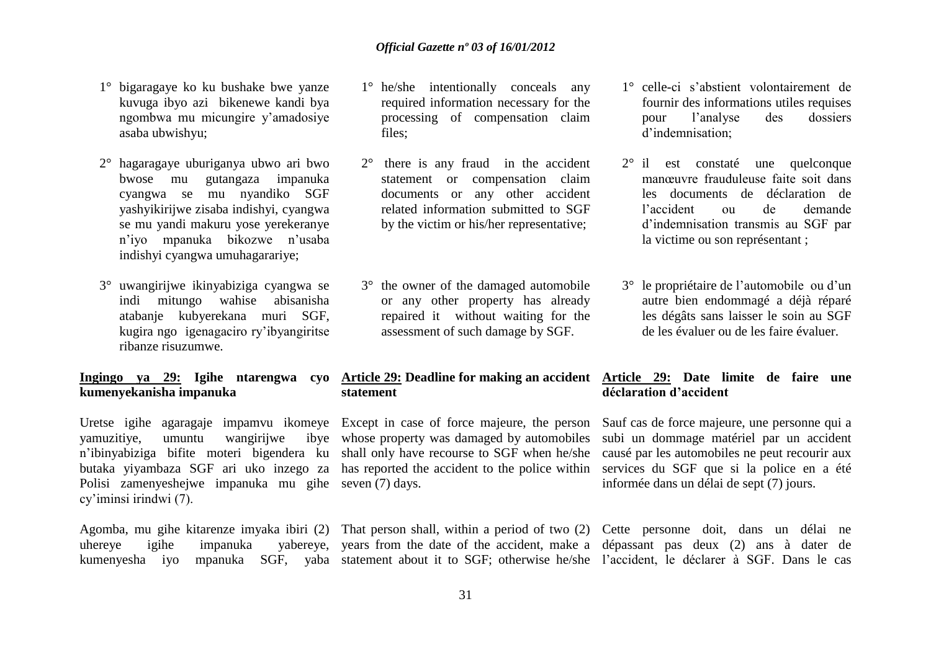- 1° bigaragaye ko ku bushake bwe yanze kuvuga ibyo azi bikenewe kandi bya ngombwa mu micungire y'amadosiye asaba ubwishyu;
- 2° hagaragaye uburiganya ubwo ari bwo bwose mu gutangaza impanuka cyangwa se mu nyandiko SGF yashyikirijwe zisaba indishyi, cyangwa se mu yandi makuru yose yerekeranye n'iyo mpanuka bikozwe n'usaba indishyi cyangwa umuhagarariye;
- 3° uwangirijwe ikinyabiziga cyangwa se indi mitungo wahise abisanisha atabanje kubyerekana muri SGF, kugira ngo igenagaciro ry'ibyangiritse ribanze risuzumwe.

## **kumenyekanisha impanuka**

Uretse igihe agaragaje impamvu ikomeye Except in case of force majeure, the person Sauf cas de force majeure, une personne qui a vamuzitiye, umuntu wangirijwe n'ibinyabiziga bifite moteri bigendera ku shall only have recourse to SGF when he/she causé par les automobiles ne peut recourir aux butaka yiyambaza SGF ari uko inzego za has reported the accident to the police within services du SGF que si la police en a été Polisi zamenyeshejwe impanuka mu gihe seven (7) days. cy'iminsi irindwi (7).

- 1° he/she intentionally conceals any required information necessary for the processing of compensation claim files;
- 2° there is any fraud in the accident statement or compensation claim documents or any other accident related information submitted to SGF by the victim or his/her representative;
- 3° the owner of the damaged automobile or any other property has already repaired it without waiting for the assessment of such damage by SGF.

## **statement**

- 1° celle-ci s'abstient volontairement de fournir des informations utiles requises pour l'analyse des dossiers d'indemnisation;
- 2° il est constaté une quelconque manœuvre frauduleuse faite soit dans les documents de déclaration de l'accident ou de demande d'indemnisation transmis au SGF par la victime ou son représentant ;
- 3° le propriétaire de l'automobile ou d'un autre bien endommagé a déjà réparé les dégâts sans laisser le soin au SGF de les évaluer ou de les faire évaluer.

### **Ingingo ya 29: Igihe ntarengwa cyo Article 29: Deadline for making an accident Article 29: Date limite de faire une déclaration d'accident**

whose property was damaged by automobiles subi un dommage matériel par un accident informée dans un délai de sept (7) jours.

Agomba, mu gihe kitarenze imyaka ibiri (2) That person shall, within a period of two (2) Cette personne doit, dans un délai ne uhereye igihe impanuka yabereye, years from the date of the accident, make a dépassant pas deux (2) ans à dater de kumenyesha iyo mpanuka SGF, yaba statement about it to SGF; otherwise he/she l'accident, le déclarer à SGF. Dans le cas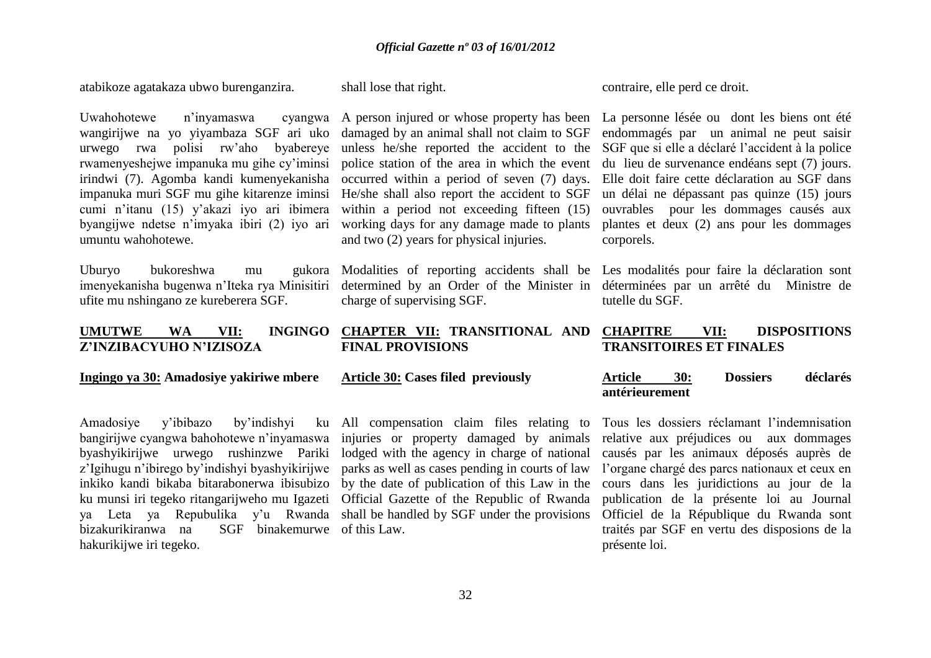atabikoze agatakaza ubwo burenganzira.

Uwahohotewe n'inyamaswa wangirijwe na yo yiyambaza SGF ari uko urwego rwa polisi rw'aho byabereye unless he/she reported the accident to the rwamenyeshejwe impanuka mu gihe cy'iminsi irindwi (7). Agomba kandi kumenyekanisha occurred within a period of seven (7) days. impanuka muri SGF mu gihe kitarenze iminsi He/she shall also report the accident to SGF cumi n'itanu (15) y'akazi iyo ari ibimera within a period not exceeding fifteen (15) byangijwe ndetse n'imyaka ibiri (2) iyo ari working days for any damage made to plants umuntu wahohotewe.

Uburyo bukoreshwa mu ufite mu nshingano ze kureberera SGF.

# **Z'INZIBACYUHO N'IZISOZA**

### **Ingingo ya 30: Amadosiye yakiriwe mbere**

Amadosiye y'ibibazo by'indishyi ku inkiko kandi bikaba bitarabonerwa ibisubizo ya Leta ya Repubulika y'u Rwanda shall be handled by SGF under the provisions bizakurikiranwa na SGF binakemurwe of this Law. hakurikijwe iri tegeko.

shall lose that right.

damaged by an animal shall not claim to SGF police station of the area in which the event and two (2) years for physical injuries.

charge of supervising SGF.

### **UMUTWE WA VII: INGINGO CHAPTER VII: TRANSITIONAL AND FINAL PROVISIONS**

### **Article 30: Cases filed previously**

All compensation claim files relating to

contraire, elle perd ce droit.

A person injured or whose property has been La personne lésée ou dont les biens ont été endommagés par un animal ne peut saisir SGF que si elle a déclaré l'accident à la police du lieu de survenance endéans sept (7) jours. Elle doit faire cette déclaration au SGF dans un délai ne dépassant pas quinze (15) jours ouvrables pour les dommages causés aux plantes et deux (2) ans pour les dommages corporels.

imenyekanisha bugenwa n'Iteka rya Minisitiri determined by an Order of the Minister in déterminées par un arrêté du Ministre de Modalities of reporting accidents shall be Les modalités pour faire la déclaration sont tutelle du SGF.

### **CHAPITRE VII: DISPOSITIONS TRANSITOIRES ET FINALES**

### **Article 30: Dossiers déclarés antérieurement**

bangirijwe cyangwa bahohotewe n'inyamaswa injuries or property damaged by animals relative aux préjudices ou aux dommages byashyikirijwe urwego rushinzwe Pariki lodged with the agency in charge of national causés par les animaux déposés auprès de z'Igihugu n'ibirego by'indishyi byashyikirijwe parks as well as cases pending in courts of law l'organe chargé des parcs nationaux et ceux en ku munsi iri tegeko ritangarijweho mu Igazeti Official Gazette of the Republic of Rwanda publication de la présente loi au Journal by the date of publication of this Law in the cours dans les juridictions au jour de la Tous les dossiers réclamant l'indemnisation Officiel de la République du Rwanda sont traités par SGF en vertu des disposions de la présente loi.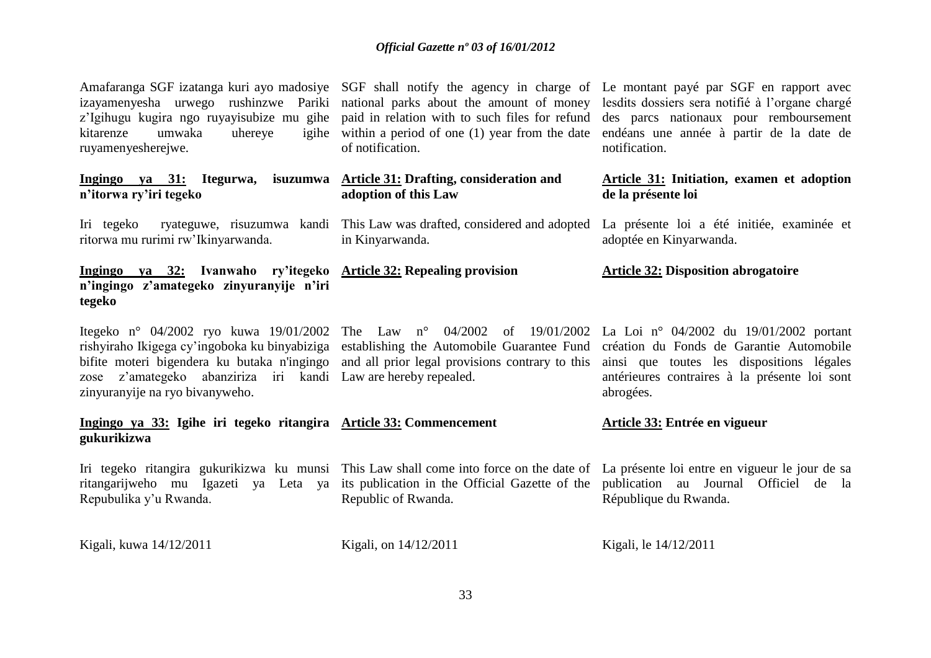of notification.

in Kinyarwanda.

**adoption of this Law**

kitarenze umwaka uhereye ruyamenyesherejwe.

**Ingingo ya 31: Itegurwa, isuzumwa Article 31: Drafting, consideration and n'itorwa ry'iri tegeko**

ritorwa mu rurimi rw'Ikinyarwanda.

**Ingingo ya 32: Ivanwaho ry'itegeko Article 32: Repealing provision n'ingingo z'amategeko zinyuranyije n'iri tegeko**

zose z'amategeko abanziriza iri kandi Law are hereby repealed. zinyuranyije na ryo bivanyweho.

### **Ingingo ya 33: Igihe iri tegeko ritangira Article 33: Commencement gukurikizwa**

Iri tegeko ritangira gukurikizwa ku munsi This Law shall come into force on the date of La présente loi entre en vigueur le jour de sa ritangarijweho mu Igazeti ya Leta ya its publication in the Official Gazette of the publication au Journal Officiel de la Repubulika y'u Rwanda. Republic of Rwanda.

Kigali, kuwa 14/12/2011

Kigali, on 14/12/2011

Amafaranga SGF izatanga kuri ayo madosiye SGF shall notify the agency in charge of Le montant payé par SGF en rapport avec izayamenyesha urwego rushinzwe Pariki national parks about the amount of money lesdits dossiers sera notifié à l'organe chargé z'Igihugu kugira ngo ruyayisubize mu gihe paid in relation with to such files for refund des parcs nationaux pour remboursement within a period of one (1) year from the date endéans une année à partir de la date de notification.

### **Article 31: Initiation, examen et adoption de la présente loi**

Iri tegeko ryateguwe, risuzumwa kandi This Law was drafted, considered and adopted La présente loi a été initiée, examinée et adoptée en Kinyarwanda.

### **Article 32: Disposition abrogatoire**

Itegeko n° 04/2002 ryo kuwa 19/01/2002 The Law n° 04/2002 of 19/01/2002 La Loi n° 04/2002 du 19/01/2002 portant rishyiraho Ikigega cy'ingoboka ku binyabiziga establishing the Automobile Guarantee Fund création du Fonds de Garantie Automobile bifite moteri bigendera ku butaka n'ingingo and all prior legal provisions contrary to this ainsi que toutes les dispositions légales antérieures contraires à la présente loi sont abrogées.

### **Article 33: Entrée en vigueur**

République du Rwanda.

```
Kigali, le 14/12/2011
```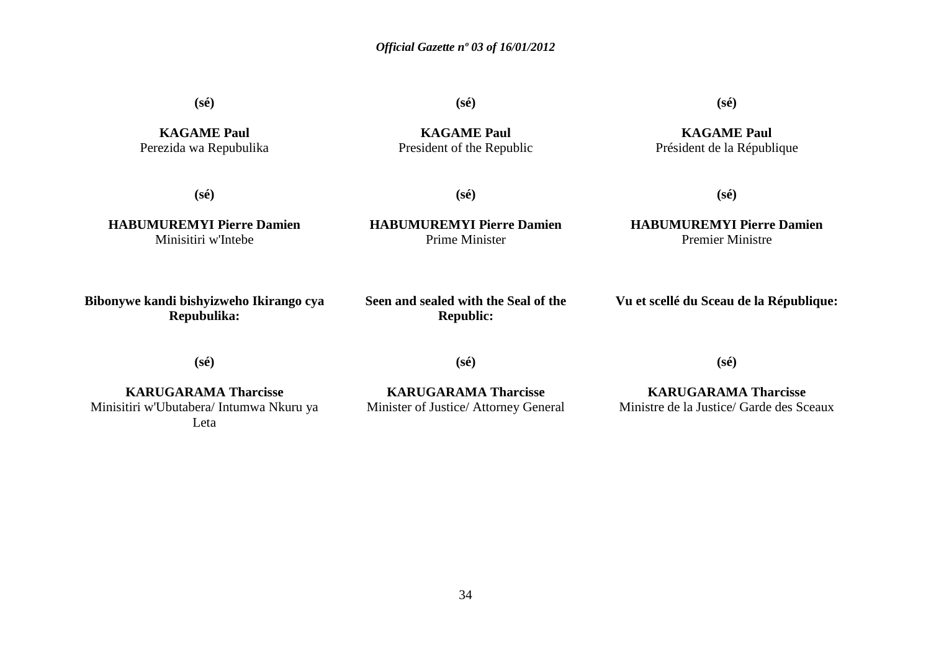**(sé)**

**(sé)**

**(sé)**

**KAGAME Paul** Président de la République

**KAGAME Paul** Perezida wa Repubulika

**KAGAME Paul** President of the Republic

**(sé)**

**(sé)**

**HABUMUREMYI Pierre Damien** Minisitiri w'Intebe

**(sé)**

**HABUMUREMYI Pierre Damien** Prime Minister

### **HABUMUREMYI Pierre Damien** Premier Ministre

**Bibonywe kandi bishyizweho Ikirango cya Repubulika:**

**Seen and sealed with the Seal of the Republic:**

**Vu et scellé du Sceau de la République:**

**(sé)**

**(sé)**

**KARUGARAMA Tharcisse** Minisitiri w'Ubutabera/ Intumwa Nkuru ya Leta

**KARUGARAMA Tharcisse** Minister of Justice/ Attorney General

**KARUGARAMA Tharcisse** Ministre de la Justice/ Garde des Sceaux

**(sé)**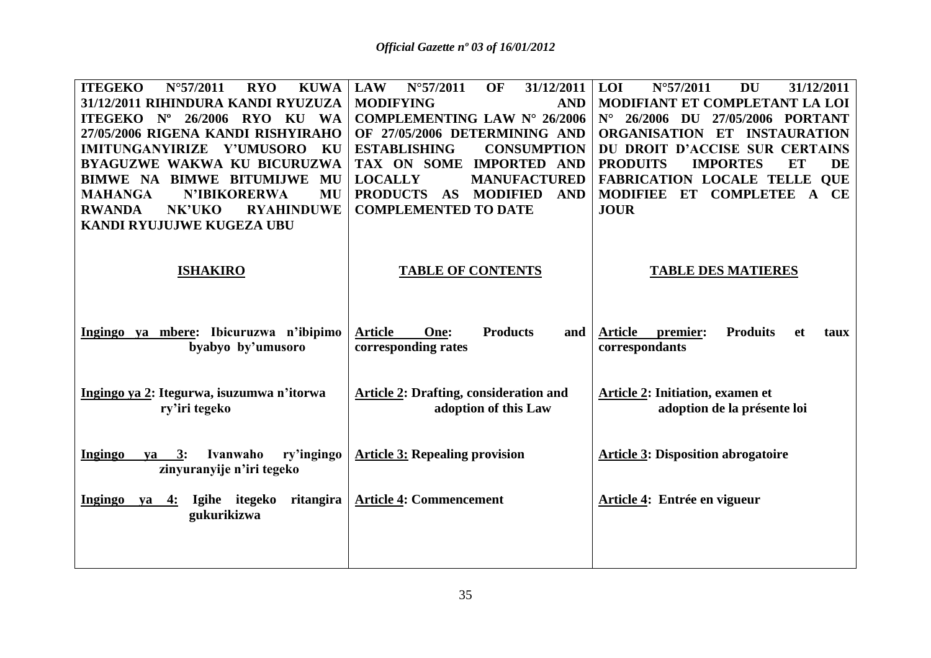| <b>ITEGEKO</b><br>$N^{\circ}57/2011$<br><b>RYO</b><br><b>KUWA</b>                      | OF<br>$N^{\circ}57/2011$<br>31/12/2011<br><b>LAW</b>                  | LOI<br>$N^{\circ}57/2011$<br><b>DU</b><br>31/12/2011                              |
|----------------------------------------------------------------------------------------|-----------------------------------------------------------------------|-----------------------------------------------------------------------------------|
| 31/12/2011 RIHINDURA KANDI RYUZUZA<br>Nº 26/2006 RYO KU<br><b>ITEGEKO</b><br><b>WA</b> | <b>MODIFYING</b><br><b>AND</b><br><b>COMPLEMENTING LAW N° 26/2006</b> | MODIFIANT ET COMPLETANT LA LOI<br>26/2006 DU<br>27/05/2006 PORTANT<br>$N^{\circ}$ |
| 27/05/2006 RIGENA KANDI RISHYIRAHO                                                     | OF 27/05/2006 DETERMINING AND                                         | ORGANISATION ET INSTAURATION                                                      |
| <b>IMITUNGANYIRIZE</b><br><b>Y'UMUSORO</b><br>KU                                       | <b>ESTABLISHING</b><br><b>CONSUMPTION</b>                             | DU DROIT D'ACCISE SUR CERTAINS                                                    |
| <b>BYAGUZWE WAKWA KU BICURUZWA</b>                                                     | TAX ON SOME<br><b>IMPORTED AND</b>                                    | <b>PRODUITS</b><br><b>ET</b><br><b>IMPORTES</b><br>DE                             |
| <b>BIMWE NA BIMWE BITUMIJWE MU</b>                                                     | <b>LOCALLY</b><br><b>MANUFACTURED</b>                                 | <b>FABRICATION LOCALE TELLE QUE</b>                                               |
| <b>N'IBIKORERWA</b><br><b>MU</b><br><b>MAHANGA</b>                                     | <b>PRODUCTS</b><br><b>MODIFIED</b><br>AS<br><b>AND</b>                | MODIFIEE ET COMPLETEE<br>$\mathbf{A}$<br>CE                                       |
| <b>RYAHINDUWE</b><br><b>RWANDA</b><br>NK'UKO                                           | <b>COMPLEMENTED TO DATE</b>                                           | <b>JOUR</b>                                                                       |
| <b>KANDI RYUJUJWE KUGEZA UBU</b>                                                       |                                                                       |                                                                                   |
|                                                                                        |                                                                       |                                                                                   |
| <b>ISHAKIRO</b>                                                                        | <b>TABLE OF CONTENTS</b>                                              | <b>TABLE DES MATIERES</b>                                                         |
|                                                                                        |                                                                       |                                                                                   |
|                                                                                        |                                                                       |                                                                                   |
|                                                                                        |                                                                       |                                                                                   |
| Ingingo ya mbere: Ibicuruzwa n'ibipimo                                                 | <b>Article</b><br>One:<br><b>Products</b><br>and                      | <b>Article</b><br>premier:<br><b>Produits</b><br>et<br>taux                       |
| byabyo by'umusoro                                                                      | corresponding rates                                                   | correspondants                                                                    |
|                                                                                        |                                                                       |                                                                                   |
|                                                                                        |                                                                       |                                                                                   |
| Ingingo ya 2: Itegurwa, isuzumwa n'itorwa                                              | <b>Article 2: Drafting, consideration and</b>                         | Article 2: Initiation, examen et                                                  |
| ry'iri tegeko                                                                          | adoption of this Law                                                  | adoption de la présente loi                                                       |
|                                                                                        |                                                                       |                                                                                   |
| ry'ingingo<br>Ingingo<br>Ivanwaho<br>$ya \quad 3:$                                     | <b>Article 3: Repealing provision</b>                                 | <b>Article 3: Disposition abrogatoire</b>                                         |
| zinyuranyije n'iri tegeko                                                              |                                                                       |                                                                                   |
|                                                                                        |                                                                       |                                                                                   |
| Ingingo ya 4:<br>Igihe itegeko<br>ritangira                                            | <b>Article 4: Commencement</b>                                        | Article 4: Entrée en vigueur                                                      |
| gukurikizwa                                                                            |                                                                       |                                                                                   |
|                                                                                        |                                                                       |                                                                                   |
|                                                                                        |                                                                       |                                                                                   |
|                                                                                        |                                                                       |                                                                                   |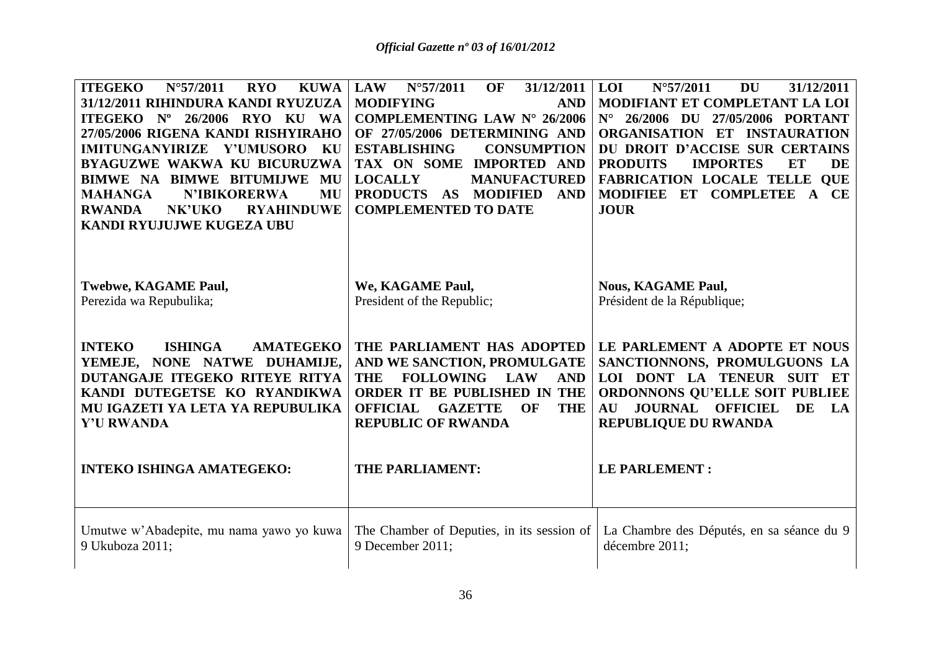| <b>ITEGEKO</b><br>$N^{\circ}57/2011$<br><b>RYO</b><br><b>KUWA</b><br>31/12/2011 RIHINDURA KANDI RYUZUZA<br>ITEGEKO Nº 26/2006 RYO KU WA<br>27/05/2006 RIGENA KANDI RISHYIRAHO<br>IMITUNGANYIRIZE Y'UMUSORO<br>KU<br><b>BYAGUZWE WAKWA KU BICURUZWA</b><br><b>BIMWE NA BIMWE BITUMLJWE</b><br>MU<br><b>N'IBIKORERWA</b><br>MU<br><b>MAHANGA</b><br>NK'UKO<br><b>RYAHINDUWE</b><br><b>RWANDA</b><br>KANDI RYUJUJWE KUGEZA UBU | <b>OF</b><br>31/12/2011<br>$N^{\circ}57/2011$<br><b>LAW</b><br><b>MODIFYING</b><br><b>AND</b><br><b>COMPLEMENTING LAW N° 26/2006</b><br>OF 27/05/2006 DETERMINING AND<br><b>ESTABLISHING</b><br><b>CONSUMPTION</b><br>TAX ON SOME IMPORTED AND<br><b>LOCALLY</b><br><b>MANUFACTURED</b><br>PRODUCTS AS MODIFIED AND<br><b>COMPLEMENTED TO DATE</b> | 31/12/2011<br><b>LOI</b><br>$N^{\circ}57/2011$<br><b>DU</b><br>MODIFIANT ET COMPLETANT LA LOI<br>N° 26/2006 DU 27/05/2006 PORTANT<br>ORGANISATION ET INSTAURATION<br>DU DROIT D'ACCISE SUR CERTAINS<br><b>PRODUITS</b><br><b>IMPORTES</b><br>ET<br><b>DE</b><br><b>FABRICATION LOCALE TELLE QUE</b><br>MODIFIEE ET COMPLETEE A CE<br><b>JOUR</b> |
|-----------------------------------------------------------------------------------------------------------------------------------------------------------------------------------------------------------------------------------------------------------------------------------------------------------------------------------------------------------------------------------------------------------------------------|----------------------------------------------------------------------------------------------------------------------------------------------------------------------------------------------------------------------------------------------------------------------------------------------------------------------------------------------------|--------------------------------------------------------------------------------------------------------------------------------------------------------------------------------------------------------------------------------------------------------------------------------------------------------------------------------------------------|
| <b>Twebwe, KAGAME Paul,</b><br>Perezida wa Repubulika;                                                                                                                                                                                                                                                                                                                                                                      | We, KAGAME Paul,<br>President of the Republic;                                                                                                                                                                                                                                                                                                     | <b>Nous, KAGAME Paul,</b><br>Président de la République;                                                                                                                                                                                                                                                                                         |
| <b>ISHINGA</b><br><b>INTEKO</b><br><b>AMATEGEKO</b><br>YEMEJE, NONE NATWE DUHAMIJE,<br>DUTANGAJE ITEGEKO RITEYE RITYA<br>KANDI DUTEGETSE KO RYANDIKWA<br>MU IGAZETI YA LETA YA REPUBULIKA<br><b>Y'U RWANDA</b>                                                                                                                                                                                                              | THE PARLIAMENT HAS ADOPTED<br>AND WE SANCTION, PROMULGATE<br><b>THE</b><br><b>FOLLOWING</b><br><b>LAW</b><br><b>AND</b><br>ORDER IT BE PUBLISHED IN THE<br>OF<br><b>THE</b><br><b>OFFICIAL</b><br><b>GAZETTE</b><br><b>REPUBLIC OF RWANDA</b>                                                                                                      | LE PARLEMENT A ADOPTE ET NOUS<br>SANCTIONNONS, PROMULGUONS LA<br>LOI DONT LA TENEUR SUIT ET<br>ORDONNONS QU'ELLE SOIT PUBLIEE<br><b>AU JOURNAL OFFICIEL</b><br>DE<br><b>LA</b><br>REPUBLIQUE DU RWANDA                                                                                                                                           |
| <b>INTEKO ISHINGA AMATEGEKO:</b>                                                                                                                                                                                                                                                                                                                                                                                            | THE PARLIAMENT:                                                                                                                                                                                                                                                                                                                                    | <b>LE PARLEMENT:</b>                                                                                                                                                                                                                                                                                                                             |
| Umutwe w'Abadepite, mu nama yawo yo kuwa<br>9 Ukuboza 2011;                                                                                                                                                                                                                                                                                                                                                                 | The Chamber of Deputies, in its session of<br>9 December 2011;                                                                                                                                                                                                                                                                                     | La Chambre des Députés, en sa séance du 9<br>décembre 2011;                                                                                                                                                                                                                                                                                      |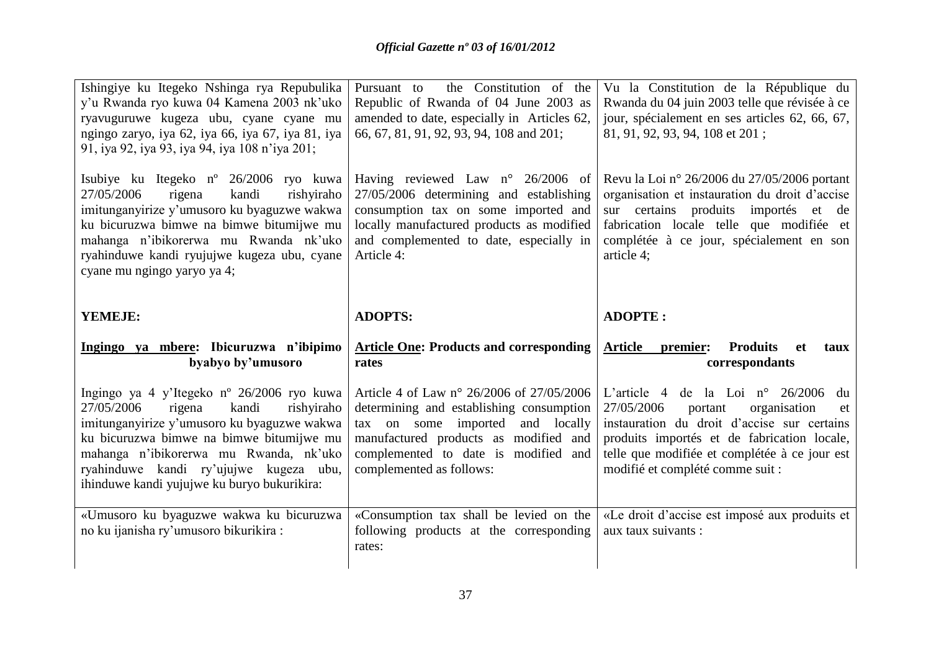| Ishingiye ku Itegeko Nshinga rya Repubulika<br>y'u Rwanda ryo kuwa 04 Kamena 2003 nk'uko<br>ryavuguruwe kugeza ubu, cyane cyane mu<br>ngingo zaryo, iya 62, iya 66, iya 67, iya 81, iya<br>91, iya 92, iya 93, iya 94, iya 108 n'iya 201;                                                                                                                          | the Constitution of the<br>Pursuant to<br>Republic of Rwanda of 04 June 2003 as<br>amended to date, especially in Articles 62,<br>66, 67, 81, 91, 92, 93, 94, 108 and 201;                                                                                                        | Vu la Constitution de la République du<br>Rwanda du 04 juin 2003 telle que révisée à ce<br>jour, spécialement en ses articles 62, 66, 67,<br>81, 91, 92, 93, 94, 108 et 201;                                                                                                                                                |
|--------------------------------------------------------------------------------------------------------------------------------------------------------------------------------------------------------------------------------------------------------------------------------------------------------------------------------------------------------------------|-----------------------------------------------------------------------------------------------------------------------------------------------------------------------------------------------------------------------------------------------------------------------------------|-----------------------------------------------------------------------------------------------------------------------------------------------------------------------------------------------------------------------------------------------------------------------------------------------------------------------------|
| Isubiye ku Itegeko n° 26/2006 ryo kuwa<br>kandi<br>27/05/2006<br>rishyiraho<br>rigena<br>imitunganyirize y'umusoro ku byaguzwe wakwa<br>ku bicuruzwa bimwe na bimwe bitumijwe mu<br>mahanga n'ibikorerwa mu Rwanda nk'uko<br>ryahinduwe kandi ryujujwe kugeza ubu, cyane<br>cyane mu ngingo yaryo ya 4;                                                            | Having reviewed Law $n^{\circ}$ 26/2006 of<br>27/05/2006 determining and establishing<br>consumption tax on some imported and<br>locally manufactured products as modified<br>and complemented to date, especially in<br>Article 4:                                               | Revu la Loi nº 26/2006 du 27/05/2006 portant<br>organisation et instauration du droit d'accise<br>sur certains produits importés et<br>de<br>fabrication locale telle que modifiée et<br>complétée à ce jour, spécialement en son<br>article 4;                                                                             |
| YEMEJE:                                                                                                                                                                                                                                                                                                                                                            | <b>ADOPTS:</b>                                                                                                                                                                                                                                                                    | <b>ADOPTE:</b>                                                                                                                                                                                                                                                                                                              |
|                                                                                                                                                                                                                                                                                                                                                                    |                                                                                                                                                                                                                                                                                   |                                                                                                                                                                                                                                                                                                                             |
| Ingingo ya mbere: Ibicuruzwa n'ibipimo<br>byabyo by'umusoro                                                                                                                                                                                                                                                                                                        | <b>Article One: Products and corresponding</b><br>rates                                                                                                                                                                                                                           | <b>Produits</b><br><b>Article</b><br>premier:<br><b>et</b><br>taux<br>correspondants                                                                                                                                                                                                                                        |
| Ingingo ya 4 y'Itegeko nº 26/2006 ryo kuwa<br>27/05/2006<br>kandi<br>rishyiraho<br>rigena<br>imitunganyirize y'umusoro ku byaguzwe wakwa<br>ku bicuruzwa bimwe na bimwe bitumijwe mu<br>mahanga n'ibikorerwa mu Rwanda, nk'uko<br>ryahinduwe kandi ry'ujujwe kugeza ubu,<br>ihinduwe kandi yujujwe ku buryo bukurikira:<br>«Umusoro ku byaguzwe wakwa ku bicuruzwa | Article 4 of Law n° 26/2006 of 27/05/2006<br>determining and establishing consumption<br>tax on some imported and locally<br>manufactured products as modified and<br>complemented to date is modified and<br>complemented as follows:<br>«Consumption tax shall be levied on the | L'article 4 de la Loi n° $26/2006$<br>du<br>27/05/2006<br>portant<br>organisation<br>et<br>instauration du droit d'accise sur certains<br>produits importés et de fabrication locale,<br>telle que modifiée et complétée à ce jour est<br>modifié et complété comme suit :<br>«Le droit d'accise est imposé aux produits et |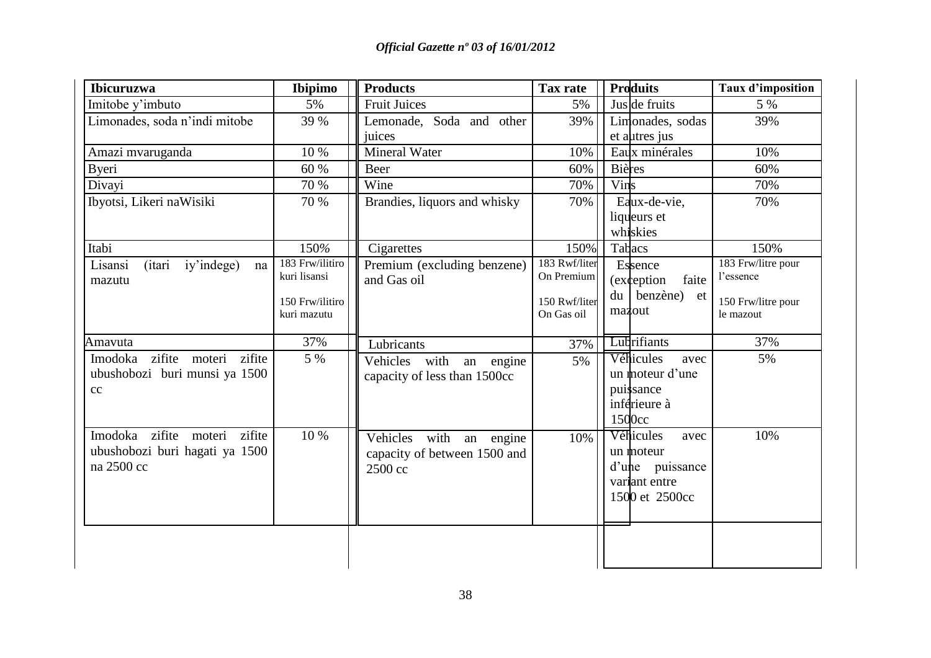| <b>Ibicuruzwa</b>                                                               | Ibipimo                           | <b>Products</b>                                                    | Tax rate                    | <b>Produits</b>                                                                      | <b>Taux d'imposition</b>          |
|---------------------------------------------------------------------------------|-----------------------------------|--------------------------------------------------------------------|-----------------------------|--------------------------------------------------------------------------------------|-----------------------------------|
| Imitobe y'imbuto                                                                | 5%                                | <b>Fruit Juices</b>                                                | 5%                          | Jus de fruits                                                                        | 5 %                               |
| Limonades, soda n'indi mitobe                                                   | 39 %                              | Lemonade, Soda and other<br>juices                                 | 39%                         | Limonades, sodas<br>et autres jus                                                    | 39%                               |
| Amazi mvaruganda                                                                | 10 %                              | Mineral Water                                                      | 10%                         | Eaux minérales                                                                       | 10%                               |
| <b>Byeri</b>                                                                    | 60 %                              | Beer                                                               | 60%                         | <b>Bières</b>                                                                        | 60%                               |
| Divayi                                                                          | 70 %                              | Wine                                                               | 70%                         | Vins                                                                                 | 70%                               |
| Ibyotsi, Likeri naWisiki                                                        | 70 %                              | Brandies, liquors and whisky                                       | 70%                         | Eaux-de-vie,<br>liqueurs et<br>whiskies                                              | 70%                               |
| Itabi                                                                           | 150%                              | Cigarettes                                                         | 150%                        | Tabacs                                                                               | 150%                              |
| iy'indege)<br>Lisansi<br><i>(itari)</i><br>na<br>mazutu                         | $183$ Frw/ilitiro<br>kuri lisansi | Premium (excluding benzene)<br>and Gas oil                         | 183 Rwf/liter<br>On Premium | Essence<br>(exception)<br>faite                                                      | $183$ Frw/litre pour<br>l'essence |
|                                                                                 | 150 Frw/ilitiro<br>kuri mazutu    |                                                                    | 150 Rwf/liter<br>On Gas oil | du benzène) et<br>mazout                                                             | 150 Frw/litre pour<br>le mazout   |
| Amavuta                                                                         | 37%                               | Lubricants                                                         | 37%                         | Lubrifiants                                                                          | 37%                               |
| Imodoka zifite moteri zifite<br>ubushobozi buri munsi ya 1500<br>cc             | 5 %                               | Vehicles with<br>an engine<br>capacity of less than 1500cc         | 5%                          | Véhicules<br>avec<br>un moteur d'une<br>puissance<br>inférieure à<br>1500cc          | 5%                                |
| Imodoka zifite moteri<br>zifite<br>ubushobozi buri hagati ya 1500<br>na 2500 cc | 10 %                              | Vehicles with an engine<br>capacity of between 1500 and<br>2500 cc | 10%                         | Véhicules<br>avec<br>un moteur<br>d'une puissance<br>variant entre<br>1500 et 2500cc | 10%                               |
|                                                                                 |                                   |                                                                    |                             |                                                                                      |                                   |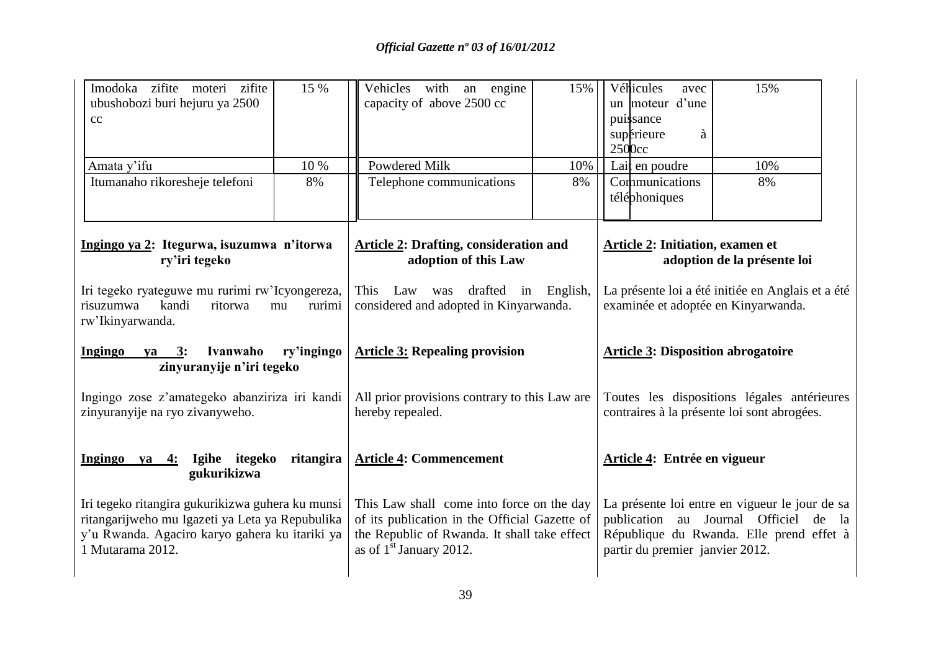| Imodoka zifite moteri zifite<br>ubushobozi buri hejuru ya 2500<br>cc                                                                                                      | 15 %                    | Vehicles with an engine<br>capacity of above 2500 cc                                                                                                                    | 15% | 2500cc                                                                                     | Véhicules<br>avec<br>un moteur d'une<br>puissance<br>à<br>supérieure | 15%                                                                                                                                 |
|---------------------------------------------------------------------------------------------------------------------------------------------------------------------------|-------------------------|-------------------------------------------------------------------------------------------------------------------------------------------------------------------------|-----|--------------------------------------------------------------------------------------------|----------------------------------------------------------------------|-------------------------------------------------------------------------------------------------------------------------------------|
| Amata y'ifu                                                                                                                                                               | 10 %                    | <b>Powdered Milk</b>                                                                                                                                                    | 10% |                                                                                            | Lait en poudre                                                       | 10%                                                                                                                                 |
| Itumanaho rikoresheje telefoni                                                                                                                                            | 8%                      | Telephone communications                                                                                                                                                | 8%  |                                                                                            | Communications<br>téléphoniques                                      | 8%                                                                                                                                  |
| Ingingo ya 2: Itegurwa, isuzumwa n'itorwa<br>ry'iri tegeko                                                                                                                |                         | <b>Article 2: Drafting, consideration and</b><br>adoption of this Law                                                                                                   |     |                                                                                            | <b>Article 2: Initiation, examen et</b>                              | adoption de la présente loi                                                                                                         |
| Iri tegeko ryateguwe mu rurimi rw'Icyongereza,<br>kandi<br>risuzumwa<br>rw'Ikinyarwanda.                                                                                  | ritorwa<br>mu<br>rurimi | Law was drafted in English,<br>This<br>considered and adopted in Kinyarwanda.                                                                                           |     | La présente loi a été initiée en Anglais et a été<br>examinée et adoptée en Kinyarwanda.   |                                                                      |                                                                                                                                     |
| <b>Ingingo</b><br>$ya$ 3:<br>zinyuranyije n'iri tegeko                                                                                                                    | ry'ingingo<br>Ivanwaho  | <b>Article 3: Repealing provision</b>                                                                                                                                   |     | <b>Article 3: Disposition abrogatoire</b>                                                  |                                                                      |                                                                                                                                     |
| Ingingo zose z'amategeko abanziriza iri kandi<br>zinyuranyije na ryo zivanyweho.                                                                                          |                         | All prior provisions contrary to this Law are<br>hereby repealed.                                                                                                       |     | Toutes les dispositions légales antérieures<br>contraires à la présente loi sont abrogées. |                                                                      |                                                                                                                                     |
| Ingingo ya 4: Igihe itegeko<br>gukurikizwa                                                                                                                                | ritangira               | <b>Article 4: Commencement</b>                                                                                                                                          |     |                                                                                            | Article 4: Entrée en vigueur                                         |                                                                                                                                     |
| Iri tegeko ritangira gukurikizwa guhera ku munsi<br>ritangarijweho mu Igazeti ya Leta ya Repubulika<br>y'u Rwanda. Agaciro karyo gahera ku itariki ya<br>1 Mutarama 2012. |                         | This Law shall come into force on the day<br>of its publication in the Official Gazette of<br>the Republic of Rwanda. It shall take effect<br>as of $1st$ January 2012. |     |                                                                                            | partir du premier janvier 2012.                                      | La présente loi entre en vigueur le jour de sa<br>publication au Journal Officiel de la<br>République du Rwanda. Elle prend effet à |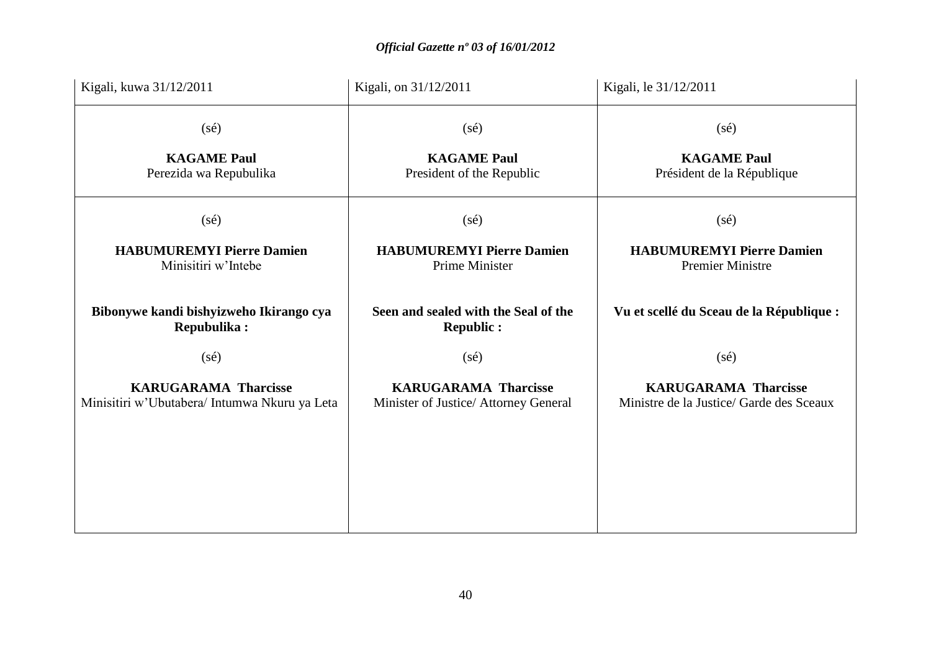| Kigali, kuwa 31/12/2011                                                      | Kigali, on 31/12/2011                                                | Kigali, le 31/12/2011                                                   |
|------------------------------------------------------------------------------|----------------------------------------------------------------------|-------------------------------------------------------------------------|
| $(s\acute{e})$                                                               | $(s\acute{e})$                                                       | $(s\acute{e})$                                                          |
| <b>KAGAME Paul</b><br>Perezida wa Repubulika                                 | <b>KAGAME Paul</b><br>President of the Republic                      | <b>KAGAME Paul</b><br>Président de la République                        |
| $(s\acute{e})$                                                               | $(s\acute{e})$                                                       | $(s\acute{e})$                                                          |
| <b>HABUMUREMYI Pierre Damien</b><br>Minisitiri w'Intebe                      | <b>HABUMUREMYI Pierre Damien</b><br>Prime Minister                   | <b>HABUMUREMYI Pierre Damien</b><br><b>Premier Ministre</b>             |
| Bibonywe kandi bishyizweho Ikirango cya<br>Repubulika:                       | Seen and sealed with the Seal of the<br><b>Republic:</b>             | Vu et scellé du Sceau de la République :                                |
| $(s\acute{e})$                                                               | $(s\acute{e})$                                                       | $(s\acute{e})$                                                          |
| <b>KARUGARAMA Tharcisse</b><br>Minisitiri w'Ubutabera/ Intumwa Nkuru ya Leta | <b>KARUGARAMA Tharcisse</b><br>Minister of Justice/ Attorney General | <b>KARUGARAMA Tharcisse</b><br>Ministre de la Justice/ Garde des Sceaux |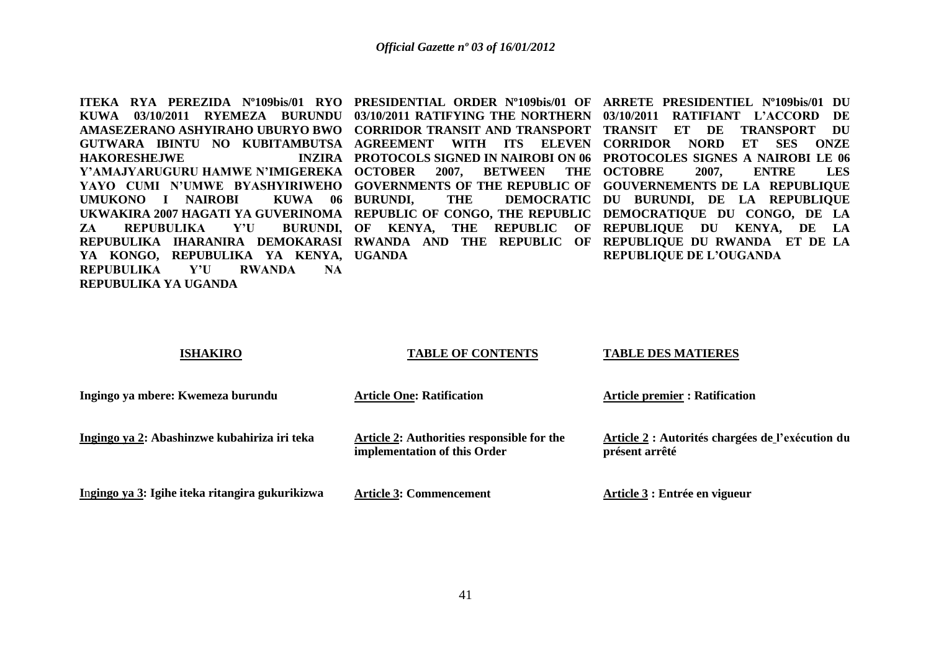**ITEKA RYA PEREZIDA Nº109bis/01 RYO PRESIDENTIAL ORDER Nº109bis/01 OF ARRETE PRESIDENTIEL Nº109bis/01 DU KUWA 03/10/2011 RYEMEZA BURUNDU 03/10/2011 RATIFYING THE NORTHERN 03/10/2011 RATIFIANT L'ACCORD DE AMASEZERANO ASHYIRAHO UBURYO BWO CORRIDOR TRANSIT AND TRANSPORT TRANSIT ET DE TRANSPORT DU GUTWARA IBINTU NO KUBITAMBUTSA AGREEMENT WITH ITS ELEVEN CORRIDOR NORD ET SES ONZE HAKORESHEJWE Y'AMAJYARUGURU HAMWE N'IMIGEREKA OCTOBER 2007, BETWEEN THE OCTOBRE 2007, ENTRE LES**  YAYO CUMI N'UMWE BYASHYIRIWEHO GOVERNMENTS OF THE REPUBLIC OF GOUVERNEMENTS DE LA REPUBLIQUE **UMUKONO I NAIROBI KUWA 06 UKWAKIRA 2007 HAGATI YA GUVERINOMA REPUBLIC OF CONGO, THE REPUBLIC DEMOCRATIQUE DU CONGO, DE LA ZA REPUBULIKA Y'U** REPUBULIKA IHARANIRA DEMOKARASI RWANDA AND THE REPUBLIC OF REPUBLIQUE DU RWANDA ET DE LA **YA KONGO, REPUBULIKA YA KENYA, UGANDA REPUBULIKA Y'U RWANDA NA REPUBULIKA YA UGANDA** 

**PROTOCOLS SIGNED IN NAIROBI ON 06 PROTOCOLES SIGNES A NAIROBI LE 06 BURUNDI, THE DEMOCRATIC DU BURUNDI, DE LA REPUBLIQUE OF KENYA, THE REPUBLIC OF REPUBLIQUE DU KENYA, DE LA REPUBLIQUE DE L'OUGANDA** 

### **ISHAKIRO**

### **TABLE OF CONTENTS**

### **TABLE DES MATIERES**

| Ingingo ya mbere: Kwemeza burundu               | <b>Article One: Ratification</b>                                           | <b>Article premier : Ratification</b>                              |
|-------------------------------------------------|----------------------------------------------------------------------------|--------------------------------------------------------------------|
| Ingingo ya 2: Abashinzwe kubahiriza iri teka    | Article 2: Authorities responsible for the<br>implementation of this Order | Article 2 : Autorités chargées de l'exécution du<br>présent arrêté |
| Ingingo ya 3: Igihe iteka ritangira gukurikizwa | <b>Article 3: Commencement</b>                                             | Article 3 : Entrée en vigueur                                      |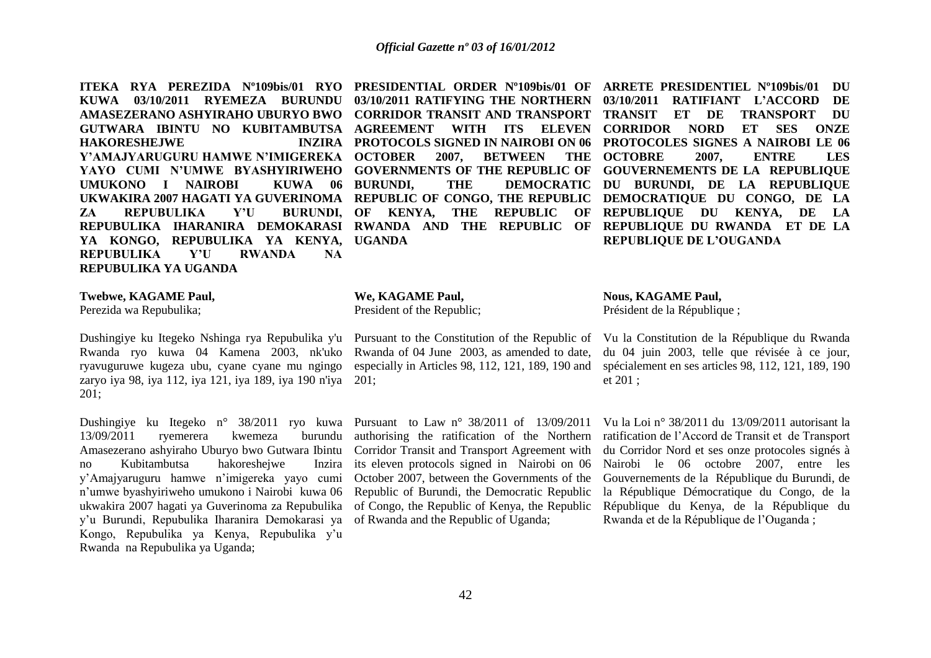**ITEKA RYA PEREZIDA N°109bis/01 RYO PRESIDENTIAL ORDER N°109bis/01 OF ARRETE PRESIDENTIEL N°109bis/01 DU KUWA 03/10/2011 RYEMEZA BURUNDU 03/10/2011 RATIFYING THE NORTHERN 03/10/2011 RATIFIANT L'ACCORD DE AMASEZERANO ASHYIRAHO UBURYO BWO CORRIDOR TRANSIT AND TRANSPORT TRANSIT ET DE TRANSPORT DU GUTWARA IBINTU NO KUBITAMBUTSA AGREEMENT WITH ITS ELEVEN CORRIDOR NORD ET SES ONZE HAKORESHEJWE Y'AMAJYARUGURU HAMWE N'IMIGEREKA**  YAYO CUMI N'UMWE BYASHYIRIWEHO GOVERNMENTS OF THE REPUBLIC OF GOUVERNEMENTS DE LA REPUBLIQUE **UMUKONO I NAIROBI KUWA 06 UKWAKIRA 2007 HAGATI YA GUVERINOMA REPUBLIC OF CONGO, THE REPUBLIC DEMOCRATIQUE DU CONGO, DE LA ZA REPUBULIKA Y'U** REPUBULIKA IHARANIRA DEMOKARASI RWANDA AND THE REPUBLIC OF REPUBLIQUE DU RWANDA ET DE LA **YA KONGO, REPUBULIKA YA KENYA, UGANDA REPUBULIKA Y'U RWANDA NA REPUBULIKA YA UGANDA** 

**2007, BETWEEN** BURUNDI, OF KENYA, THE REPUBLIC OF

# **PROTOCOLS SIGNED IN NAIROBI ON 06 PROTOCOLES SIGNES A NAIROBI LE 06**  BURUNDI, THE DEMOCRATIC DU BURUNDI, DE LA REPUBLIQUE THE OCTOBRE 2007, ENTRE LES **REPUBLIQUE DU KENYA, DE LA REPUBLIQUE DE L'OUGANDA**

### **Twebwe, KAGAME Paul,**

Perezida wa Repubulika;

Dushingiye ku Itegeko Nshinga rya Repubulika y'u Pursuant to the Constitution of the Republic of Rwanda ryo kuwa 04 Kamena 2003, nk'uko Rwanda of 04 June 2003, as amended to date, ryavuguruwe kugeza ubu, cyane cyane mu ngingo especially in Articles 98, 112, 121, 189, 190 and zaryo iya 98, iya 112, iya 121, iya 189, iya 190 n'iya 201; 201;

Dushingiye ku Itegeko n° 38/2011 ryo kuwa Pursuant to Law n° 38/2011 of 13/09/2011 13/09/2011 ryemerera kwemeza burundu Amasezerano ashyiraho Uburyo bwo Gutwara Ibintu no Kubitambutsa hakoreshejwe y'Amajyaruguru hamwe n'imigereka yayo cumi n'umwe byashyiriweho umukono i Nairobi kuwa 06 ukwakira 2007 hagati ya Guverinoma za Repubulika y'u Burundi, Repubulika Iharanira Demokarasi ya Kongo, Repubulika ya Kenya, Repubulika y'u Rwanda na Repubulika ya Uganda;

### **We, KAGAME Paul,**

President of the Republic;

authorising the ratification of the Northern Corridor Transit and Transport Agreement with Inzira its eleven protocols signed in Nairobi on 06 October 2007, between the Governments of the Republic of Burundi, the Democratic Republic of Congo, the Republic of Kenya, the Republic of Rwanda and the Republic of Uganda;

## **Nous, KAGAME Paul,**

Président de la République ;

Vu la Constitution de la République du Rwanda du 04 juin 2003, telle que révisée à ce jour, spécialement en ses articles 98, 112, 121, 189, 190 et 201 ;

Vu la Loi n° 38/2011 du 13/09/2011 autorisant la ratification de l'Accord de Transit et de Transport du Corridor Nord et ses onze protocoles signés à Nairobi le 06 octobre 2007, entre les Gouvernements de la République du Burundi, de la République Démocratique du Congo, de la République du Kenya, de la République du Rwanda et de la République de l'Ouganda ;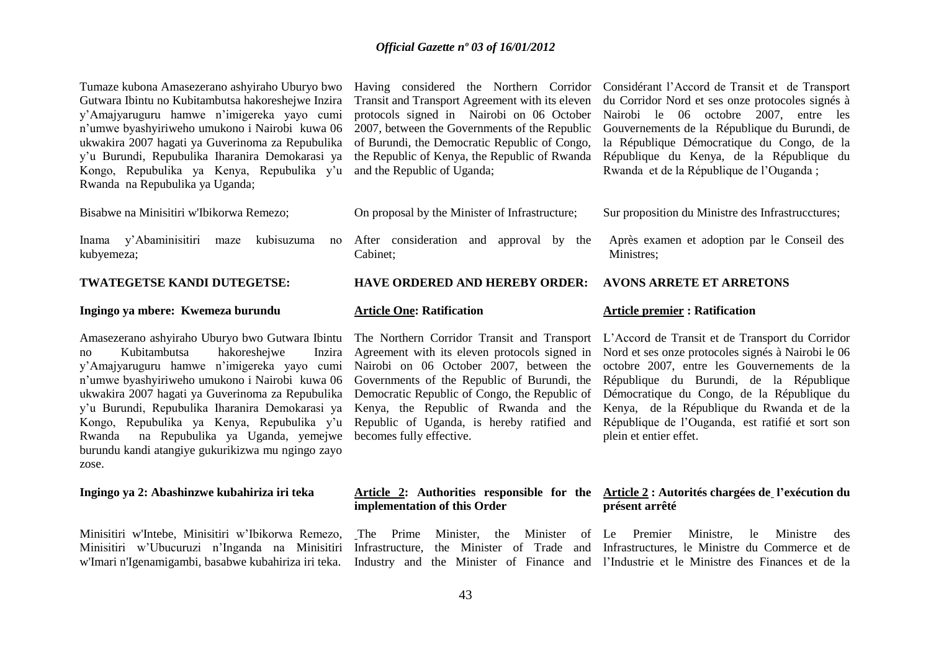Tumaze kubona Amasezerano ashyiraho Uburyo bwo Having considered the Northern Corridor Considérant l'Accord de Transit et de Transport Gutwara Ibintu no Kubitambutsa hakoreshejwe Inzira y'Amajyaruguru hamwe n'imigereka yayo cumi n'umwe byashyiriweho umukono i Nairobi kuwa 06 ukwakira 2007 hagati ya Guverinoma za Repubulika y'u Burundi, Repubulika Iharanira Demokarasi ya Kongo, Repubulika ya Kenya, Repubulika y'u Rwanda na Repubulika ya Uganda;

Bisabwe na Minisitiri w'Ibikorwa Remezo;

Inama y'Abaminisitiri maze kubyemeza;

### **TWATEGETSE KANDI DUTEGETSE:**

### **Ingingo ya mbere: Kwemeza burundu**

no Kubitambutsa hakoreshejwe Inzira y'Amajyaruguru hamwe n'imigereka yayo cumi n'umwe byashyiriweho umukono i Nairobi kuwa 06 ukwakira 2007 hagati ya Guverinoma za Repubulika y'u Burundi, Repubulika Iharanira Demokarasi ya Kongo, Repubulika ya Kenya, Repubulika y'u Rwanda na Repubulika ya Uganda, yemejwe becomes fully effective. burundu kandi atangiye gukurikizwa mu ngingo zayo zose.

### **Ingingo ya 2: Abashinzwe kubahiriza iri teka**

Minisitiri w'Intebe, Minisitiri w'Ibikorwa Remezo, Minisitiri w'Ubucuruzi n'Inganda na Minisitiri

Transit and Transport Agreement with its eleven protocols signed in Nairobi on 06 October 2007, between the Governments of the Republic of Burundi, the Democratic Republic of Congo, the Republic of Kenya, the Republic of Rwanda and the Republic of Uganda;

- On proposal by the Minister of Infrastructure;
- kubisuzuma no After consideration and approval by the Cabinet;

### **HAVE ORDERED AND HEREBY ORDER:**

### **Article One: Ratification**

Agreement with its eleven protocols signed in Nairobi on 06 October 2007, between the Governments of the Republic of Burundi, the Democratic Republic of Congo, the Republic of Kenya, the Republic of Rwanda and the Republic of Uganda, is hereby ratified and

### **Article premier : Ratification**

**AVONS ARRETE ET ARRETONS**

Amasezerano ashyiraho Uburyo bwo Gutwara Ibintu The Northern Corridor Transit and Transport L'Accord de Transit et de Transport du Corridor Nord et ses onze protocoles signés à Nairobi le 06 octobre 2007, entre les Gouvernements de la République du Burundi, de la République Démocratique du Congo, de la République du Kenya, de la République du Rwanda et de la République de l'Ouganda, est ratifié et sort son plein et entier effet.

## **implementation of this Order**

### **Article 2: Authorities responsible for the Article 2 : Autorités chargées de l'exécution du présent arrêté**

w'Imari n'Igenamigambi, basabwe kubahiriza iri teka. Industry and the Minister of Finance and l'Industrie et le Ministre des Finances et de la The Prime Minister, the Minister of Le Premier Ministre, le Ministre des Infrastructure, the Minister of Trade and Infrastructures, le Ministre du Commerce et de

du Corridor Nord et ses onze protocoles signés à Nairobi le 06 octobre 2007, entre les Gouvernements de la République du Burundi, de la République Démocratique du Congo, de la République du Kenya, de la République du Rwanda et de la République de l'Ouganda ;

Sur proposition du Ministre des Infrastrucctures;

Après examen et adoption par le Conseil des Ministres;